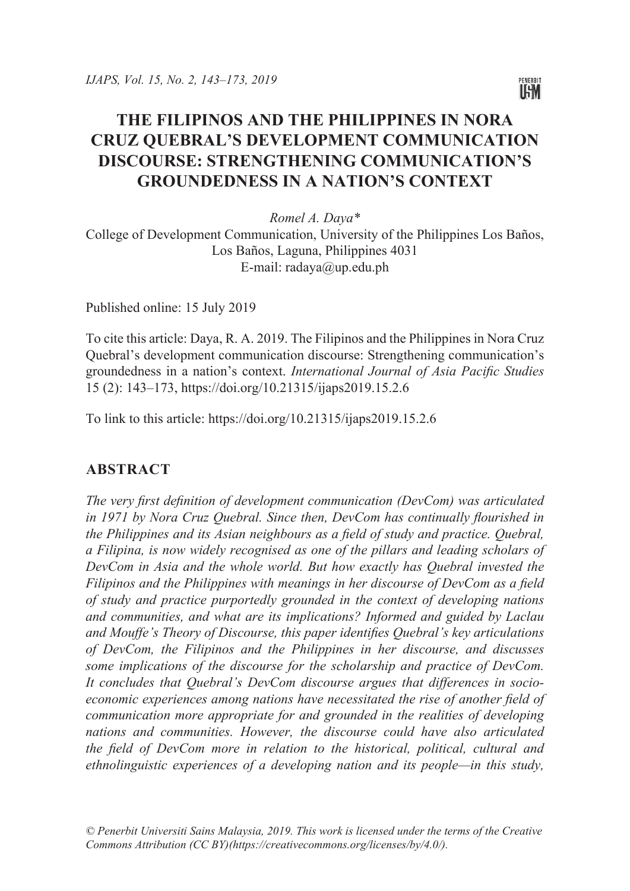# PENERBIT<br>U<del>li</del>m

# **THE FILIPINOS AND THE PHILIPPINES IN NORA CRUZ QUEBRAL'S DEVELOPMENT COMMUNICATION DISCOURSE: STRENGTHENING COMMUNICATION'S GROUNDEDNESS IN A NATION'S CONTEXT**

*Romel A. Daya\**

College of Development Communication, University of the Philippines Los Baños, Los Baños, Laguna, Philippines 4031 E-mail: radaya@up.edu.ph

Published online: 15 July 2019

To cite this article: Daya, R. A. 2019. The Filipinos and the Philippines in Nora Cruz Quebral's development communication discourse: Strengthening communication's groundedness in a nation's context. *International Journal of Asia Pacific Studies* 15 (2): 143–173, https://doi.org/10.21315/ijaps2019.15.2.6

To link to this article: https://doi.org/10.21315/ijaps2019.15.2.6

#### **ABSTRACT**

*The very first definition of development communication (DevCom) was articulated in 1971 by Nora Cruz Quebral. Since then, DevCom has continually flourished in the Philippines and its Asian neighbours as a field of study and practice. Quebral, a Filipina, is now widely recognised as one of the pillars and leading scholars of DevCom in Asia and the whole world. But how exactly has Quebral invested the Filipinos and the Philippines with meanings in her discourse of DevCom as a field of study and practice purportedly grounded in the context of developing nations and communities, and what are its implications? Informed and guided by Laclau and Mouffe's Theory of Discourse, this paper identifies Quebral's key articulations of DevCom, the Filipinos and the Philippines in her discourse, and discusses some implications of the discourse for the scholarship and practice of DevCom. It concludes that Quebral's DevCom discourse argues that differences in socioeconomic experiences among nations have necessitated the rise of another field of communication more appropriate for and grounded in the realities of developing nations and communities. However, the discourse could have also articulated the field of DevCom more in relation to the historical, political, cultural and ethnolinguistic experiences of a developing nation and its people—in this study,*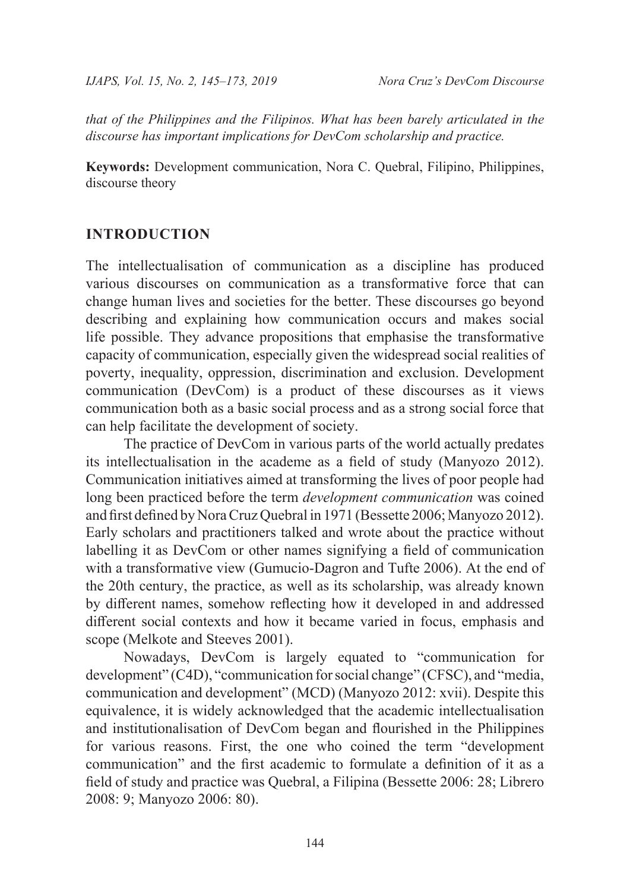*that of the Philippines and the Filipinos. What has been barely articulated in the discourse has important implications for DevCom scholarship and practice.*

**Keywords:** Development communication, Nora C. Quebral, Filipino, Philippines, discourse theory

#### **INTRODUCTION**

The intellectualisation of communication as a discipline has produced various discourses on communication as a transformative force that can change human lives and societies for the better. These discourses go beyond describing and explaining how communication occurs and makes social life possible. They advance propositions that emphasise the transformative capacity of communication, especially given the widespread social realities of poverty, inequality, oppression, discrimination and exclusion. Development communication (DevCom) is a product of these discourses as it views communication both as a basic social process and as a strong social force that can help facilitate the development of society.

The practice of DevCom in various parts of the world actually predates its intellectualisation in the academe as a field of study (Manyozo 2012). Communication initiatives aimed at transforming the lives of poor people had long been practiced before the term *development communication* was coined and first defined by Nora Cruz Quebral in 1971 (Bessette 2006; Manyozo 2012). Early scholars and practitioners talked and wrote about the practice without labelling it as DevCom or other names signifying a field of communication with a transformative view (Gumucio-Dagron and Tufte 2006). At the end of the 20th century, the practice, as well as its scholarship, was already known by different names, somehow reflecting how it developed in and addressed different social contexts and how it became varied in focus, emphasis and scope (Melkote and Steeves 2001).

Nowadays, DevCom is largely equated to "communication for development" (C4D), "communication for social change" (CFSC), and "media, communication and development" (MCD) (Manyozo 2012: xvii). Despite this equivalence, it is widely acknowledged that the academic intellectualisation and institutionalisation of DevCom began and flourished in the Philippines for various reasons. First, the one who coined the term "development communication" and the first academic to formulate a definition of it as a field of study and practice was Quebral, a Filipina (Bessette 2006: 28; Librero 2008: 9; Manyozo 2006: 80).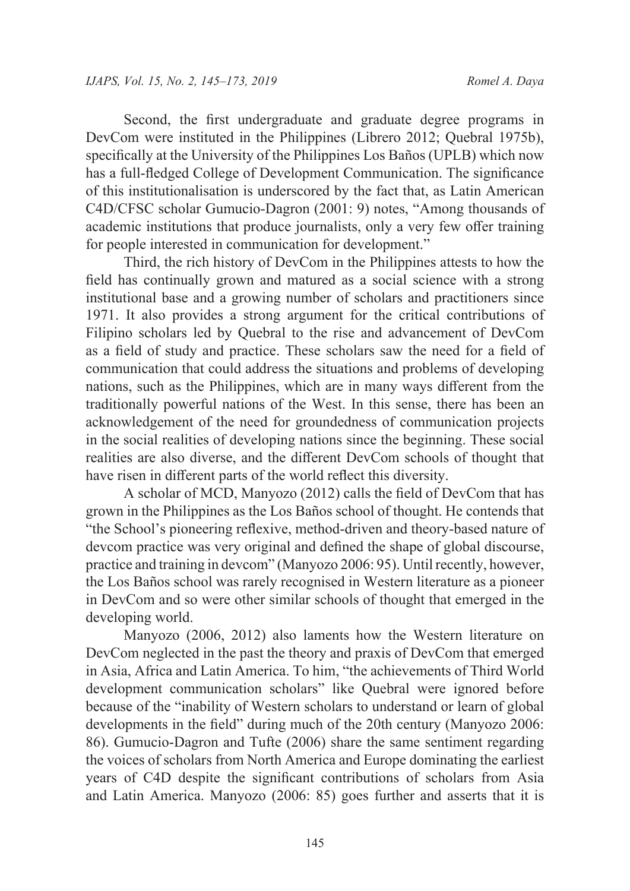Second, the first undergraduate and graduate degree programs in DevCom were instituted in the Philippines (Librero 2012; Quebral 1975b), specifically at the University of the Philippines Los Baños (UPLB) which now has a full-fledged College of Development Communication. The significance of this institutionalisation is underscored by the fact that, as Latin American C4D/CFSC scholar Gumucio-Dagron (2001: 9) notes, "Among thousands of academic institutions that produce journalists, only a very few offer training for people interested in communication for development."

Third, the rich history of DevCom in the Philippines attests to how the field has continually grown and matured as a social science with a strong institutional base and a growing number of scholars and practitioners since 1971. It also provides a strong argument for the critical contributions of Filipino scholars led by Quebral to the rise and advancement of DevCom as a field of study and practice. These scholars saw the need for a field of communication that could address the situations and problems of developing nations, such as the Philippines, which are in many ways different from the traditionally powerful nations of the West. In this sense, there has been an acknowledgement of the need for groundedness of communication projects in the social realities of developing nations since the beginning. These social realities are also diverse, and the different DevCom schools of thought that have risen in different parts of the world reflect this diversity.

A scholar of MCD, Manyozo (2012) calls the field of DevCom that has grown in the Philippines as the Los Baños school of thought. He contends that "the School's pioneering reflexive, method-driven and theory-based nature of devcom practice was very original and defined the shape of global discourse, practice and training in devcom" (Manyozo 2006: 95). Until recently, however, the Los Baños school was rarely recognised in Western literature as a pioneer in DevCom and so were other similar schools of thought that emerged in the developing world.

Manyozo (2006, 2012) also laments how the Western literature on DevCom neglected in the past the theory and praxis of DevCom that emerged in Asia, Africa and Latin America. To him, "the achievements of Third World development communication scholars" like Quebral were ignored before because of the "inability of Western scholars to understand or learn of global developments in the field" during much of the 20th century (Manyozo 2006: 86). Gumucio-Dagron and Tufte (2006) share the same sentiment regarding the voices of scholars from North America and Europe dominating the earliest years of C4D despite the significant contributions of scholars from Asia and Latin America. Manyozo (2006: 85) goes further and asserts that it is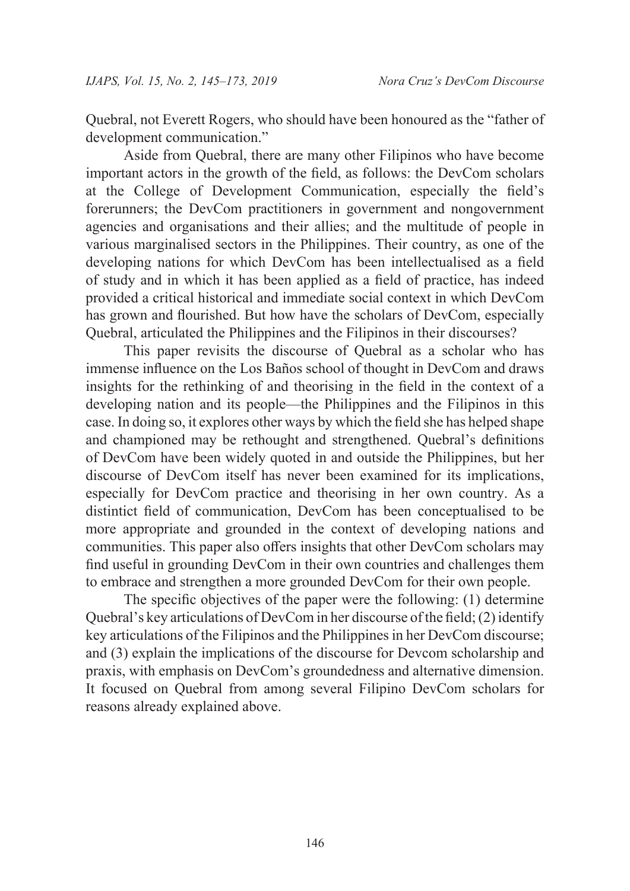Quebral, not Everett Rogers, who should have been honoured as the "father of development communication."

Aside from Quebral, there are many other Filipinos who have become important actors in the growth of the field, as follows: the DevCom scholars at the College of Development Communication, especially the field's forerunners; the DevCom practitioners in government and nongovernment agencies and organisations and their allies; and the multitude of people in various marginalised sectors in the Philippines. Their country, as one of the developing nations for which DevCom has been intellectualised as a field of study and in which it has been applied as a field of practice, has indeed provided a critical historical and immediate social context in which DevCom has grown and flourished. But how have the scholars of DevCom, especially Quebral, articulated the Philippines and the Filipinos in their discourses?

This paper revisits the discourse of Quebral as a scholar who has immense influence on the Los Baños school of thought in DevCom and draws insights for the rethinking of and theorising in the field in the context of a developing nation and its people—the Philippines and the Filipinos in this case. In doing so, it explores other ways by which the field she has helped shape and championed may be rethought and strengthened. Quebral's definitions of DevCom have been widely quoted in and outside the Philippines, but her discourse of DevCom itself has never been examined for its implications, especially for DevCom practice and theorising in her own country. As a distintict field of communication, DevCom has been conceptualised to be more appropriate and grounded in the context of developing nations and communities. This paper also offers insights that other DevCom scholars may find useful in grounding DevCom in their own countries and challenges them to embrace and strengthen a more grounded DevCom for their own people.

The specific objectives of the paper were the following: (1) determine Quebral's key articulations of DevCom in her discourse of the field; (2) identify key articulations of the Filipinos and the Philippines in her DevCom discourse; and (3) explain the implications of the discourse for Devcom scholarship and praxis, with emphasis on DevCom's groundedness and alternative dimension. It focused on Quebral from among several Filipino DevCom scholars for reasons already explained above.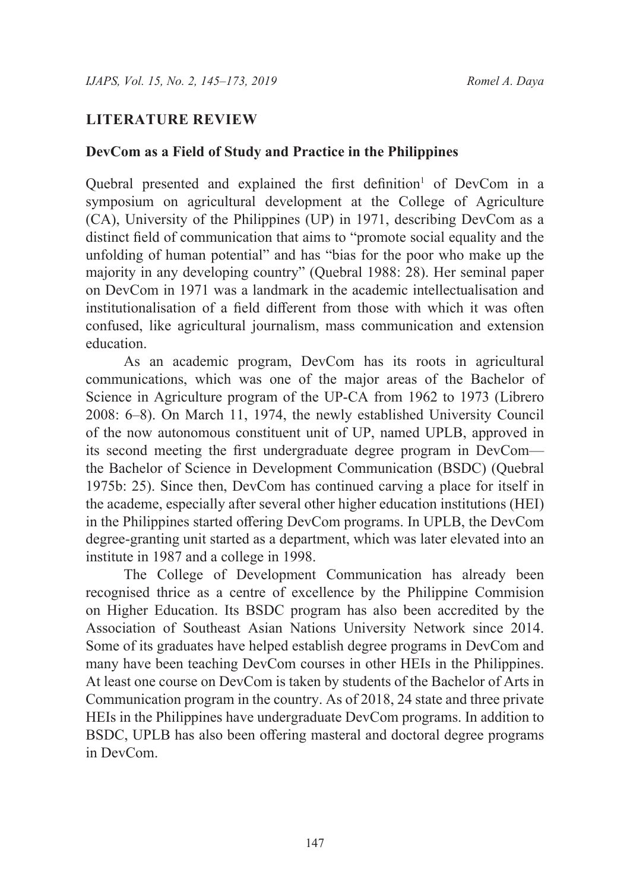#### **LITERATURE REVIEW**

#### **DevCom as a Field of Study and Practice in the Philippines**

Quebral presented and explained the first definition<sup>1</sup> of DevCom in a symposium on agricultural development at the College of Agriculture (CA), University of the Philippines (UP) in 1971, describing DevCom as a distinct field of communication that aims to "promote social equality and the unfolding of human potential" and has "bias for the poor who make up the majority in any developing country" (Quebral 1988: 28). Her seminal paper on DevCom in 1971 was a landmark in the academic intellectualisation and institutionalisation of a field different from those with which it was often confused, like agricultural journalism, mass communication and extension education.

As an academic program, DevCom has its roots in agricultural communications, which was one of the major areas of the Bachelor of Science in Agriculture program of the UP-CA from 1962 to 1973 (Librero 2008: 6–8). On March 11, 1974, the newly established University Council of the now autonomous constituent unit of UP, named UPLB, approved in its second meeting the first undergraduate degree program in DevCom the Bachelor of Science in Development Communication (BSDC) (Quebral 1975b: 25). Since then, DevCom has continued carving a place for itself in the academe, especially after several other higher education institutions (HEI) in the Philippines started offering DevCom programs. In UPLB, the DevCom degree-granting unit started as a department, which was later elevated into an institute in 1987 and a college in 1998.

The College of Development Communication has already been recognised thrice as a centre of excellence by the Philippine Commision on Higher Education. Its BSDC program has also been accredited by the Association of Southeast Asian Nations University Network since 2014. Some of its graduates have helped establish degree programs in DevCom and many have been teaching DevCom courses in other HEIs in the Philippines. At least one course on DevCom is taken by students of the Bachelor of Arts in Communication program in the country. As of 2018, 24 state and three private HEIs in the Philippines have undergraduate DevCom programs. In addition to BSDC, UPLB has also been offering masteral and doctoral degree programs in DevCom.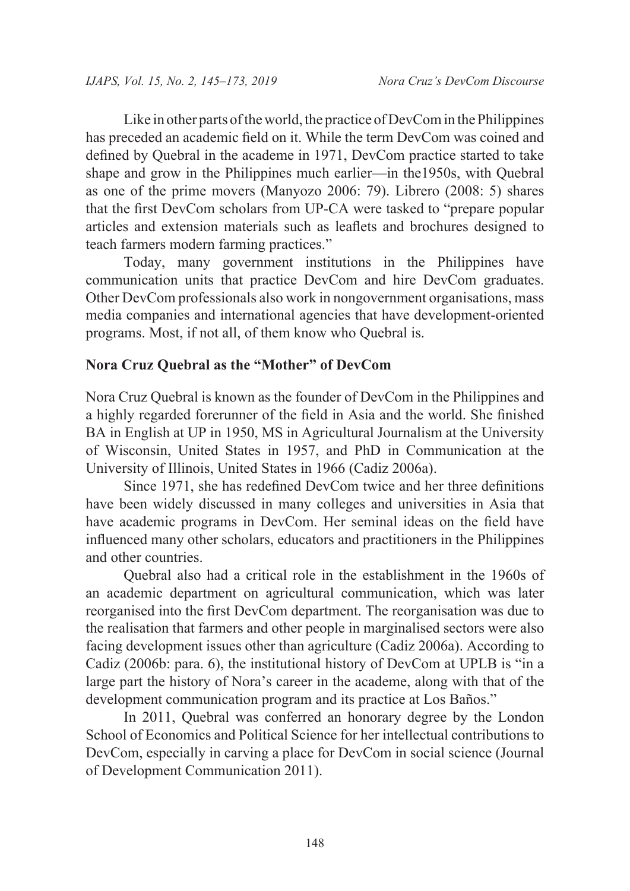Like in other parts of the world, the practice of DevCom in the Philippines has preceded an academic field on it. While the term DevCom was coined and defined by Quebral in the academe in 1971, DevCom practice started to take shape and grow in the Philippines much earlier—in the1950s, with Quebral as one of the prime movers (Manyozo 2006: 79). Librero (2008: 5) shares that the first DevCom scholars from UP-CA were tasked to "prepare popular articles and extension materials such as leaflets and brochures designed to teach farmers modern farming practices."

Today, many government institutions in the Philippines have communication units that practice DevCom and hire DevCom graduates. Other DevCom professionals also work in nongovernment organisations, mass media companies and international agencies that have development-oriented programs. Most, if not all, of them know who Quebral is.

#### **Nora Cruz Quebral as the "Mother" of DevCom**

Nora Cruz Quebral is known as the founder of DevCom in the Philippines and a highly regarded forerunner of the field in Asia and the world. She finished BA in English at UP in 1950, MS in Agricultural Journalism at the University of Wisconsin, United States in 1957, and PhD in Communication at the University of Illinois, United States in 1966 (Cadiz 2006a).

Since 1971, she has redefined DevCom twice and her three definitions have been widely discussed in many colleges and universities in Asia that have academic programs in DevCom. Her seminal ideas on the field have influenced many other scholars, educators and practitioners in the Philippines and other countries.

Quebral also had a critical role in the establishment in the 1960s of an academic department on agricultural communication, which was later reorganised into the first DevCom department. The reorganisation was due to the realisation that farmers and other people in marginalised sectors were also facing development issues other than agriculture (Cadiz 2006a). According to Cadiz (2006b: para. 6), the institutional history of DevCom at UPLB is "in a large part the history of Nora's career in the academe, along with that of the development communication program and its practice at Los Baños."

In 2011, Quebral was conferred an honorary degree by the London School of Economics and Political Science for her intellectual contributions to DevCom, especially in carving a place for DevCom in social science (Journal of Development Communication 2011).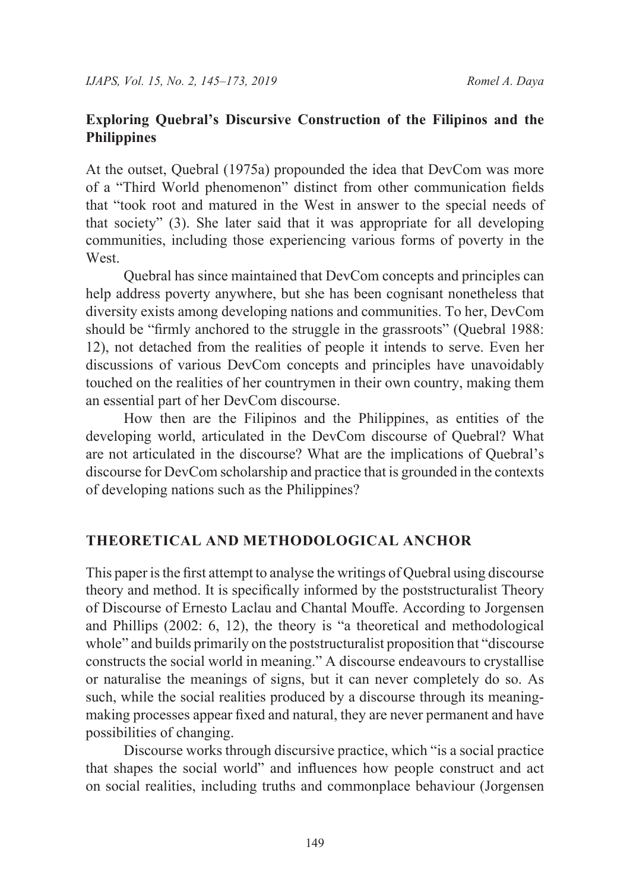#### **Exploring Quebral's Discursive Construction of the Filipinos and the Philippines**

At the outset, Quebral (1975a) propounded the idea that DevCom was more of a "Third World phenomenon" distinct from other communication fields that "took root and matured in the West in answer to the special needs of that society" (3). She later said that it was appropriate for all developing communities, including those experiencing various forms of poverty in the West.

Quebral has since maintained that DevCom concepts and principles can help address poverty anywhere, but she has been cognisant nonetheless that diversity exists among developing nations and communities. To her, DevCom should be "firmly anchored to the struggle in the grassroots" (Quebral 1988: 12), not detached from the realities of people it intends to serve. Even her discussions of various DevCom concepts and principles have unavoidably touched on the realities of her countrymen in their own country, making them an essential part of her DevCom discourse.

How then are the Filipinos and the Philippines, as entities of the developing world, articulated in the DevCom discourse of Quebral? What are not articulated in the discourse? What are the implications of Quebral's discourse for DevCom scholarship and practice that is grounded in the contexts of developing nations such as the Philippines?

#### **THEORETICAL AND METHODOLOGICAL ANCHOR**

This paper is the first attempt to analyse the writings of Quebral using discourse theory and method. It is specifically informed by the poststructuralist Theory of Discourse of Ernesto Laclau and Chantal Mouffe. According to Jorgensen and Phillips (2002: 6, 12), the theory is "a theoretical and methodological whole" and builds primarily on the poststructuralist proposition that "discourse constructs the social world in meaning." A discourse endeavours to crystallise or naturalise the meanings of signs, but it can never completely do so. As such, while the social realities produced by a discourse through its meaningmaking processes appear fixed and natural, they are never permanent and have possibilities of changing.

Discourse works through discursive practice, which "is a social practice that shapes the social world" and influences how people construct and act on social realities, including truths and commonplace behaviour (Jorgensen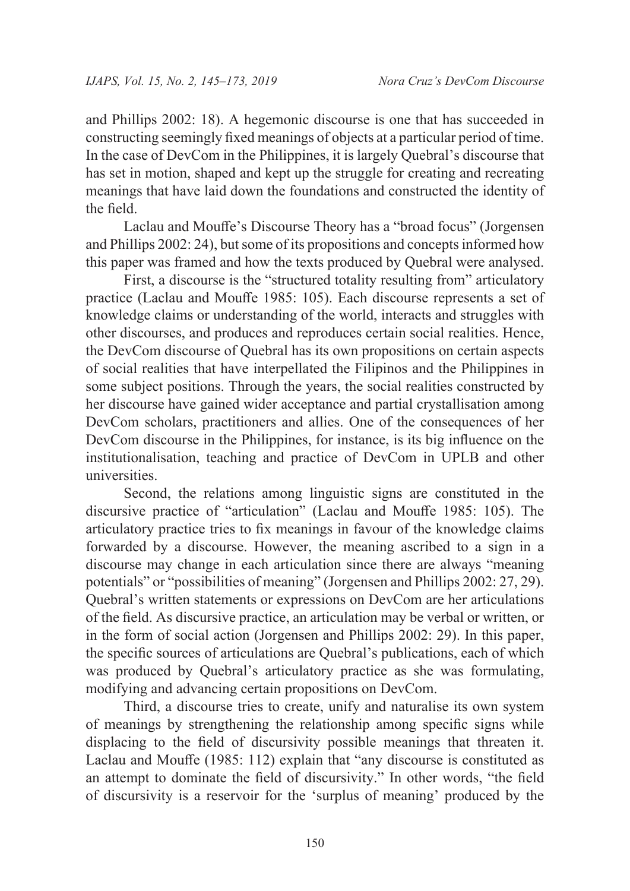and Phillips 2002: 18). A hegemonic discourse is one that has succeeded in constructing seemingly fixed meanings of objects at a particular period of time. In the case of DevCom in the Philippines, it is largely Quebral's discourse that has set in motion, shaped and kept up the struggle for creating and recreating meanings that have laid down the foundations and constructed the identity of the field.

Laclau and Mouffe's Discourse Theory has a "broad focus" (Jorgensen and Phillips 2002: 24), but some of its propositions and concepts informed how this paper was framed and how the texts produced by Quebral were analysed.

First, a discourse is the "structured totality resulting from" articulatory practice (Laclau and Mouffe 1985: 105). Each discourse represents a set of knowledge claims or understanding of the world, interacts and struggles with other discourses, and produces and reproduces certain social realities. Hence, the DevCom discourse of Quebral has its own propositions on certain aspects of social realities that have interpellated the Filipinos and the Philippines in some subject positions. Through the years, the social realities constructed by her discourse have gained wider acceptance and partial crystallisation among DevCom scholars, practitioners and allies. One of the consequences of her DevCom discourse in the Philippines, for instance, is its big influence on the institutionalisation, teaching and practice of DevCom in UPLB and other universities.

Second, the relations among linguistic signs are constituted in the discursive practice of "articulation" (Laclau and Mouffe 1985: 105). The articulatory practice tries to fix meanings in favour of the knowledge claims forwarded by a discourse. However, the meaning ascribed to a sign in a discourse may change in each articulation since there are always "meaning potentials" or "possibilities of meaning" (Jorgensen and Phillips 2002: 27, 29). Quebral's written statements or expressions on DevCom are her articulations of the field. As discursive practice, an articulation may be verbal or written, or in the form of social action (Jorgensen and Phillips 2002: 29). In this paper, the specific sources of articulations are Quebral's publications, each of which was produced by Quebral's articulatory practice as she was formulating, modifying and advancing certain propositions on DevCom.

Third, a discourse tries to create, unify and naturalise its own system of meanings by strengthening the relationship among specific signs while displacing to the field of discursivity possible meanings that threaten it. Laclau and Mouffe (1985: 112) explain that "any discourse is constituted as an attempt to dominate the field of discursivity." In other words, "the field of discursivity is a reservoir for the 'surplus of meaning' produced by the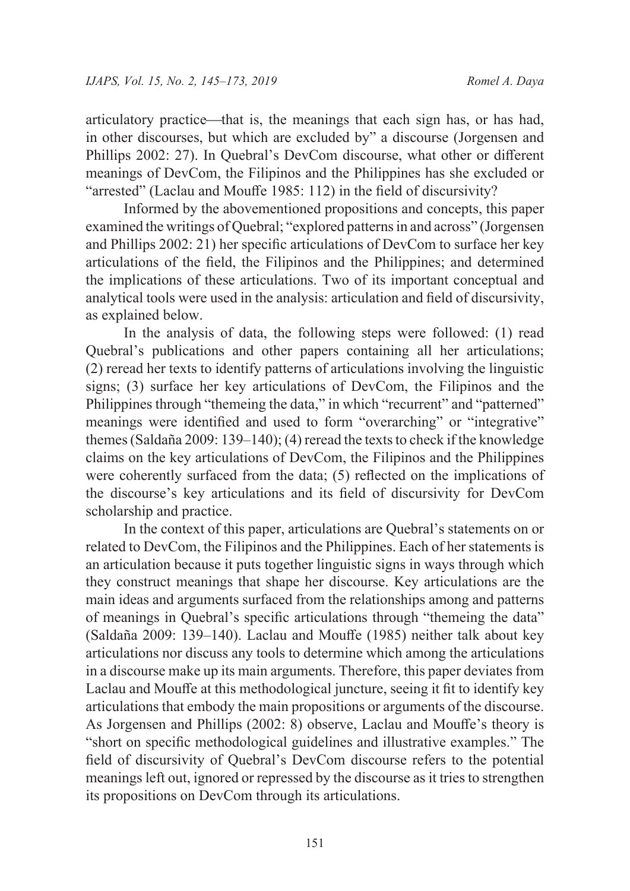articulatory practice—that is, the meanings that each sign has, or has had, in other discourses, but which are excluded by" a discourse (Jorgensen and Phillips 2002: 27). In Quebral's DevCom discourse, what other or different meanings of DevCom, the Filipinos and the Philippines has she excluded or "arrested" (Laclau and Mouffe 1985: 112) in the field of discursivity?

Informed by the abovementioned propositions and concepts, this paper examined the writings of Quebral; "explored patterns in and across" (Jorgensen and Phillips 2002: 21) her specific articulations of DevCom to surface her key articulations of the field, the Filipinos and the Philippines; and determined the implications of these articulations. Two of its important conceptual and analytical tools were used in the analysis: articulation and field of discursivity, as explained below.

In the analysis of data, the following steps were followed: (1) read Quebral's publications and other papers containing all her articulations; (2) reread her texts to identify patterns of articulations involving the linguistic signs; (3) surface her key articulations of DevCom, the Filipinos and the Philippines through "themeing the data," in which "recurrent" and "patterned" meanings were identified and used to form "overarching" or "integrative" themes (Saldaña 2009: 139–140); (4) reread the texts to check if the knowledge claims on the key articulations of DevCom, the Filipinos and the Philippines were coherently surfaced from the data; (5) reflected on the implications of the discourse's key articulations and its field of discursivity for DevCom scholarship and practice.

In the context of this paper, articulations are Quebral's statements on or related to DevCom, the Filipinos and the Philippines. Each of her statements is an articulation because it puts together linguistic signs in ways through which they construct meanings that shape her discourse. Key articulations are the main ideas and arguments surfaced from the relationships among and patterns of meanings in Quebral's specific articulations through "themeing the data" (Saldaña 2009: 139–140). Laclau and Mouffe (1985) neither talk about key articulations nor discuss any tools to determine which among the articulations in a discourse make up its main arguments. Therefore, this paper deviates from Laclau and Mouffe at this methodological juncture, seeing it fit to identify key articulations that embody the main propositions or arguments of the discourse. As Jorgensen and Phillips (2002: 8) observe, Laclau and Mouffe's theory is "short on specific methodological guidelines and illustrative examples." The field of discursivity of Quebral's DevCom discourse refers to the potential meanings left out, ignored or repressed by the discourse as it tries to strengthen its propositions on DevCom through its articulations.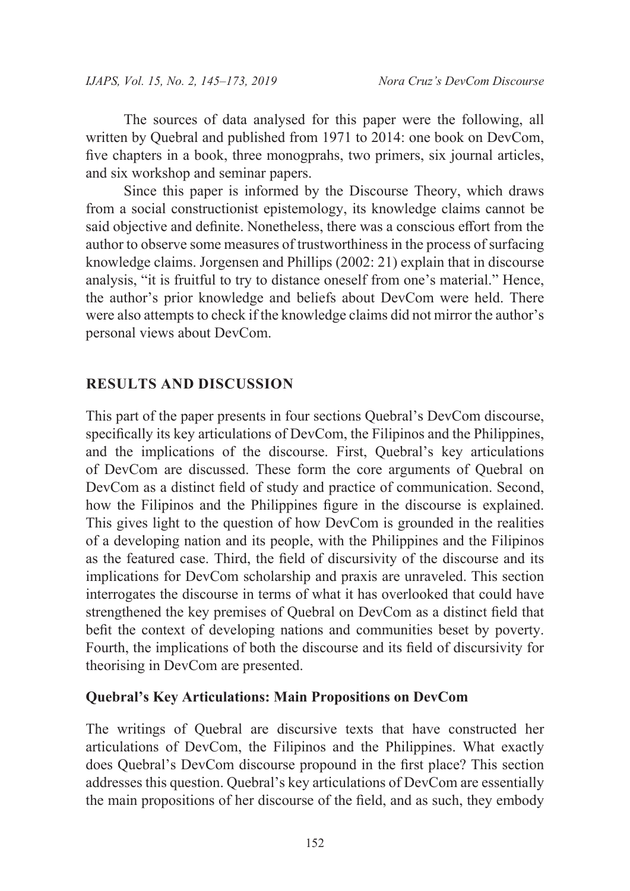The sources of data analysed for this paper were the following, all written by Quebral and published from 1971 to 2014: one book on DevCom, five chapters in a book, three monogprahs, two primers, six journal articles, and six workshop and seminar papers.

Since this paper is informed by the Discourse Theory, which draws from a social constructionist epistemology, its knowledge claims cannot be said objective and definite. Nonetheless, there was a conscious effort from the author to observe some measures of trustworthiness in the process of surfacing knowledge claims. Jorgensen and Phillips (2002: 21) explain that in discourse analysis, "it is fruitful to try to distance oneself from one's material." Hence, the author's prior knowledge and beliefs about DevCom were held. There were also attempts to check if the knowledge claims did not mirror the author's personal views about DevCom.

#### **RESULTS AND DISCUSSION**

This part of the paper presents in four sections Quebral's DevCom discourse, specifically its key articulations of DevCom, the Filipinos and the Philippines, and the implications of the discourse. First, Quebral's key articulations of DevCom are discussed. These form the core arguments of Quebral on DevCom as a distinct field of study and practice of communication. Second, how the Filipinos and the Philippines figure in the discourse is explained. This gives light to the question of how DevCom is grounded in the realities of a developing nation and its people, with the Philippines and the Filipinos as the featured case. Third, the field of discursivity of the discourse and its implications for DevCom scholarship and praxis are unraveled. This section interrogates the discourse in terms of what it has overlooked that could have strengthened the key premises of Quebral on DevCom as a distinct field that befit the context of developing nations and communities beset by poverty. Fourth, the implications of both the discourse and its field of discursivity for theorising in DevCom are presented.

#### **Quebral's Key Articulations: Main Propositions on DevCom**

The writings of Quebral are discursive texts that have constructed her articulations of DevCom, the Filipinos and the Philippines. What exactly does Quebral's DevCom discourse propound in the first place? This section addresses this question. Quebral's key articulations of DevCom are essentially the main propositions of her discourse of the field, and as such, they embody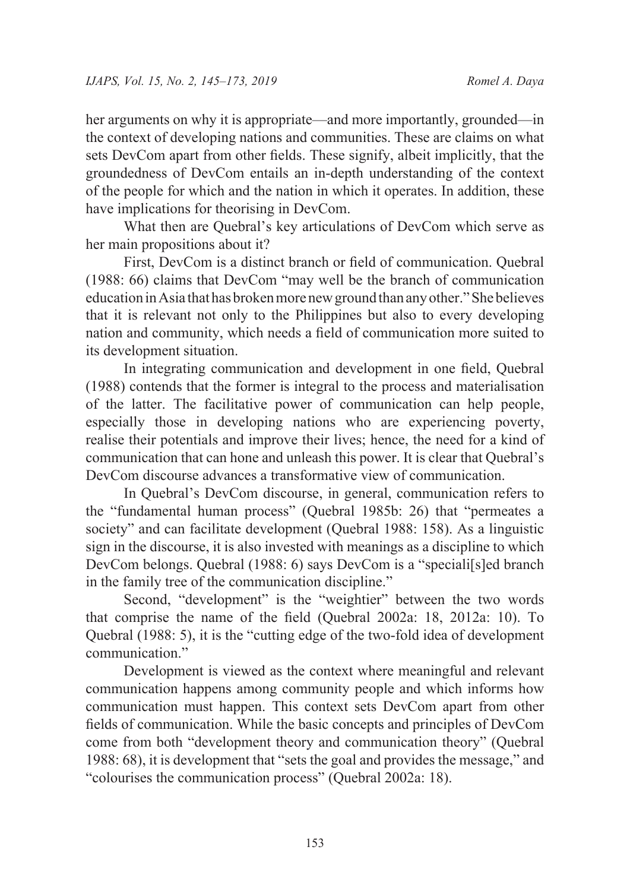her arguments on why it is appropriate—and more importantly, grounded—in the context of developing nations and communities. These are claims on what sets DevCom apart from other fields. These signify, albeit implicitly, that the groundedness of DevCom entails an in-depth understanding of the context of the people for which and the nation in which it operates. In addition, these have implications for theorising in DevCom.

What then are Quebral's key articulations of DevCom which serve as her main propositions about it?

First, DevCom is a distinct branch or field of communication. Quebral (1988: 66) claims that DevCom "may well be the branch of communication education in Asia that has broken more new ground than any other." She believes that it is relevant not only to the Philippines but also to every developing nation and community, which needs a field of communication more suited to its development situation.

In integrating communication and development in one field, Quebral (1988) contends that the former is integral to the process and materialisation of the latter. The facilitative power of communication can help people, especially those in developing nations who are experiencing poverty, realise their potentials and improve their lives; hence, the need for a kind of communication that can hone and unleash this power. It is clear that Quebral's DevCom discourse advances a transformative view of communication.

In Quebral's DevCom discourse, in general, communication refers to the "fundamental human process" (Quebral 1985b: 26) that "permeates a society" and can facilitate development (Quebral 1988: 158). As a linguistic sign in the discourse, it is also invested with meanings as a discipline to which DevCom belongs. Quebral (1988: 6) says DevCom is a "speciali[s]ed branch in the family tree of the communication discipline."

Second, "development" is the "weightier" between the two words that comprise the name of the field (Quebral 2002a: 18, 2012a: 10). To Quebral (1988: 5), it is the "cutting edge of the two-fold idea of development communication."

Development is viewed as the context where meaningful and relevant communication happens among community people and which informs how communication must happen. This context sets DevCom apart from other fields of communication. While the basic concepts and principles of DevCom come from both "development theory and communication theory" (Quebral 1988: 68), it is development that "sets the goal and provides the message," and "colourises the communication process" (Quebral 2002a: 18).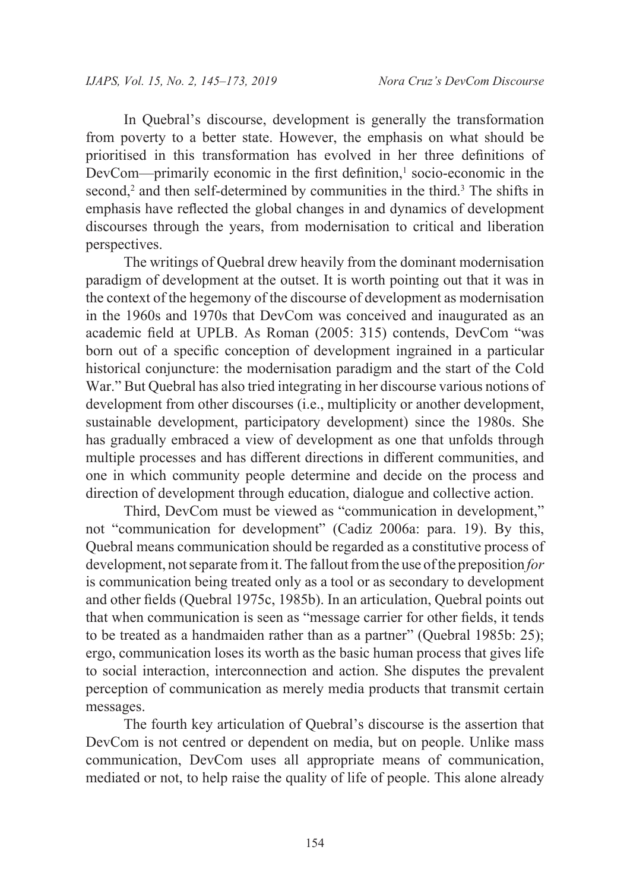In Quebral's discourse, development is generally the transformation from poverty to a better state. However, the emphasis on what should be prioritised in this transformation has evolved in her three definitions of  $DevCom$ —primarily economic in the first definition,<sup>1</sup> socio-economic in the second,<sup>2</sup> and then self-determined by communities in the third.<sup>3</sup> The shifts in emphasis have reflected the global changes in and dynamics of development discourses through the years, from modernisation to critical and liberation perspectives.

The writings of Quebral drew heavily from the dominant modernisation paradigm of development at the outset. It is worth pointing out that it was in the context of the hegemony of the discourse of development as modernisation in the 1960s and 1970s that DevCom was conceived and inaugurated as an academic field at UPLB. As Roman (2005: 315) contends, DevCom "was born out of a specific conception of development ingrained in a particular historical conjuncture: the modernisation paradigm and the start of the Cold War." But Quebral has also tried integrating in her discourse various notions of development from other discourses (i.e., multiplicity or another development, sustainable development, participatory development) since the 1980s. She has gradually embraced a view of development as one that unfolds through multiple processes and has different directions in different communities, and one in which community people determine and decide on the process and direction of development through education, dialogue and collective action.

Third, DevCom must be viewed as "communication in development," not "communication for development" (Cadiz 2006a: para. 19). By this, Quebral means communication should be regarded as a constitutive process of development, not separate from it. The fallout from the use of the preposition *for* is communication being treated only as a tool or as secondary to development and other fields (Quebral 1975c, 1985b). In an articulation, Quebral points out that when communication is seen as "message carrier for other fields, it tends to be treated as a handmaiden rather than as a partner" (Quebral 1985b: 25); ergo, communication loses its worth as the basic human process that gives life to social interaction, interconnection and action. She disputes the prevalent perception of communication as merely media products that transmit certain messages.

The fourth key articulation of Quebral's discourse is the assertion that DevCom is not centred or dependent on media, but on people. Unlike mass communication, DevCom uses all appropriate means of communication, mediated or not, to help raise the quality of life of people. This alone already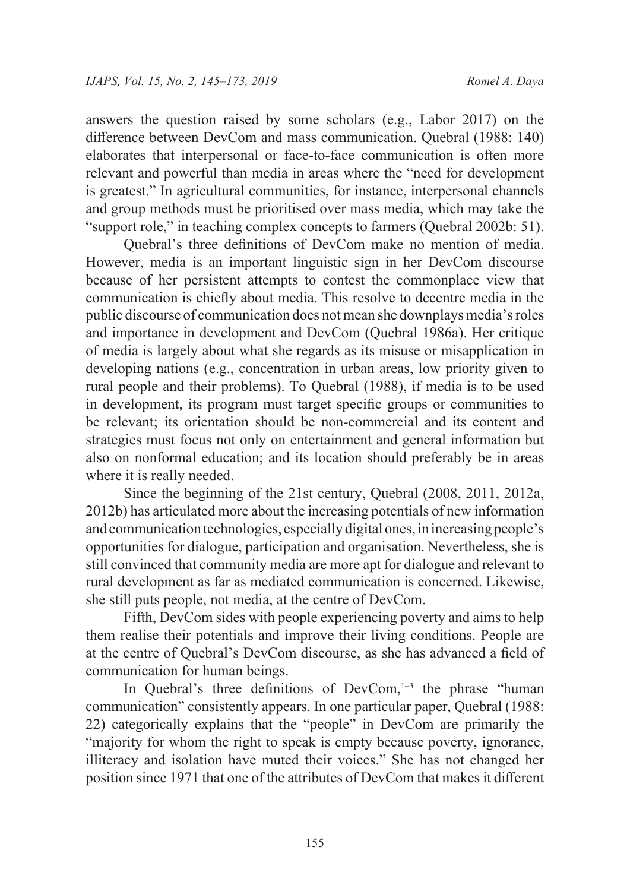answers the question raised by some scholars (e.g., Labor 2017) on the difference between DevCom and mass communication. Quebral (1988: 140) elaborates that interpersonal or face-to-face communication is often more relevant and powerful than media in areas where the "need for development is greatest." In agricultural communities, for instance, interpersonal channels and group methods must be prioritised over mass media, which may take the "support role," in teaching complex concepts to farmers (Quebral 2002b: 51).

Quebral's three definitions of DevCom make no mention of media. However, media is an important linguistic sign in her DevCom discourse because of her persistent attempts to contest the commonplace view that communication is chiefly about media. This resolve to decentre media in the public discourse of communication does not mean she downplays media's roles and importance in development and DevCom (Quebral 1986a). Her critique of media is largely about what she regards as its misuse or misapplication in developing nations (e.g., concentration in urban areas, low priority given to rural people and their problems). To Quebral (1988), if media is to be used in development, its program must target specific groups or communities to be relevant; its orientation should be non-commercial and its content and strategies must focus not only on entertainment and general information but also on nonformal education; and its location should preferably be in areas where it is really needed.

Since the beginning of the 21st century, Quebral (2008, 2011, 2012a, 2012b) has articulated more about the increasing potentials of new information and communication technologies, especially digital ones, in increasing people's opportunities for dialogue, participation and organisation. Nevertheless, she is still convinced that community media are more apt for dialogue and relevant to rural development as far as mediated communication is concerned. Likewise, she still puts people, not media, at the centre of DevCom.

Fifth, DevCom sides with people experiencing poverty and aims to help them realise their potentials and improve their living conditions. People are at the centre of Quebral's DevCom discourse, as she has advanced a field of communication for human beings.

In Quebral's three definitions of  $DevCom<sub>1-3</sub>$  the phrase "human" communication" consistently appears. In one particular paper, Quebral (1988: 22) categorically explains that the "people" in DevCom are primarily the "majority for whom the right to speak is empty because poverty, ignorance, illiteracy and isolation have muted their voices." She has not changed her position since 1971 that one of the attributes of DevCom that makes it different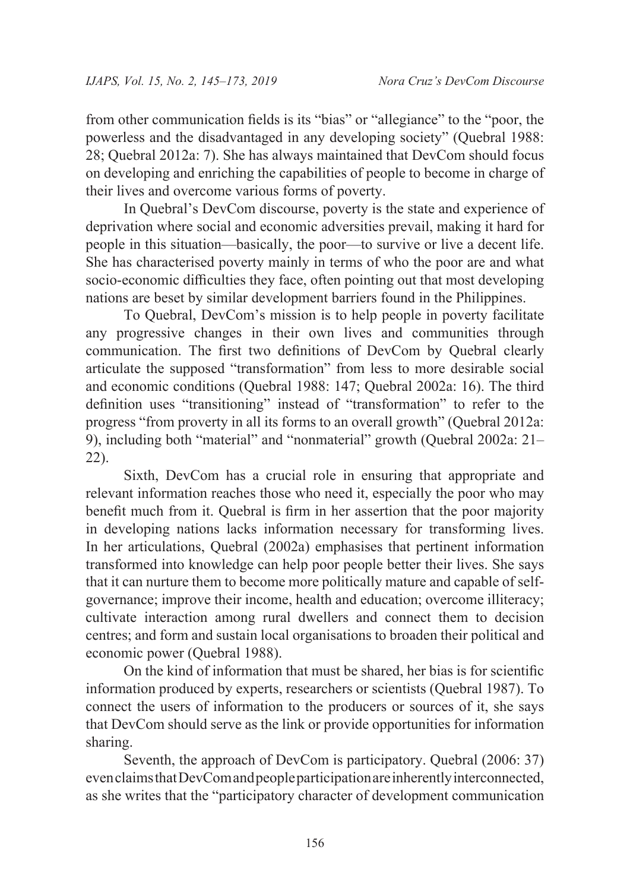from other communication fields is its "bias" or "allegiance" to the "poor, the powerless and the disadvantaged in any developing society" (Quebral 1988: 28; Quebral 2012a: 7). She has always maintained that DevCom should focus on developing and enriching the capabilities of people to become in charge of their lives and overcome various forms of poverty.

In Quebral's DevCom discourse, poverty is the state and experience of deprivation where social and economic adversities prevail, making it hard for people in this situation—basically, the poor—to survive or live a decent life. She has characterised poverty mainly in terms of who the poor are and what socio-economic difficulties they face, often pointing out that most developing nations are beset by similar development barriers found in the Philippines.

To Quebral, DevCom's mission is to help people in poverty facilitate any progressive changes in their own lives and communities through communication. The first two definitions of DevCom by Quebral clearly articulate the supposed "transformation" from less to more desirable social and economic conditions (Quebral 1988: 147; Quebral 2002a: 16). The third definition uses "transitioning" instead of "transformation" to refer to the progress "from proverty in all its forms to an overall growth" (Quebral 2012a: 9), including both "material" and "nonmaterial" growth (Quebral 2002a: 21– 22).

Sixth, DevCom has a crucial role in ensuring that appropriate and relevant information reaches those who need it, especially the poor who may benefit much from it. Quebral is firm in her assertion that the poor majority in developing nations lacks information necessary for transforming lives. In her articulations, Quebral (2002a) emphasises that pertinent information transformed into knowledge can help poor people better their lives. She says that it can nurture them to become more politically mature and capable of selfgovernance; improve their income, health and education; overcome illiteracy; cultivate interaction among rural dwellers and connect them to decision centres; and form and sustain local organisations to broaden their political and economic power (Quebral 1988).

On the kind of information that must be shared, her bias is for scientific information produced by experts, researchers or scientists (Quebral 1987). To connect the users of information to the producers or sources of it, she says that DevCom should serve as the link or provide opportunities for information sharing.

Seventh, the approach of DevCom is participatory. Quebral (2006: 37) even claims that DevCom and people participation are inherently interconnected, as she writes that the "participatory character of development communication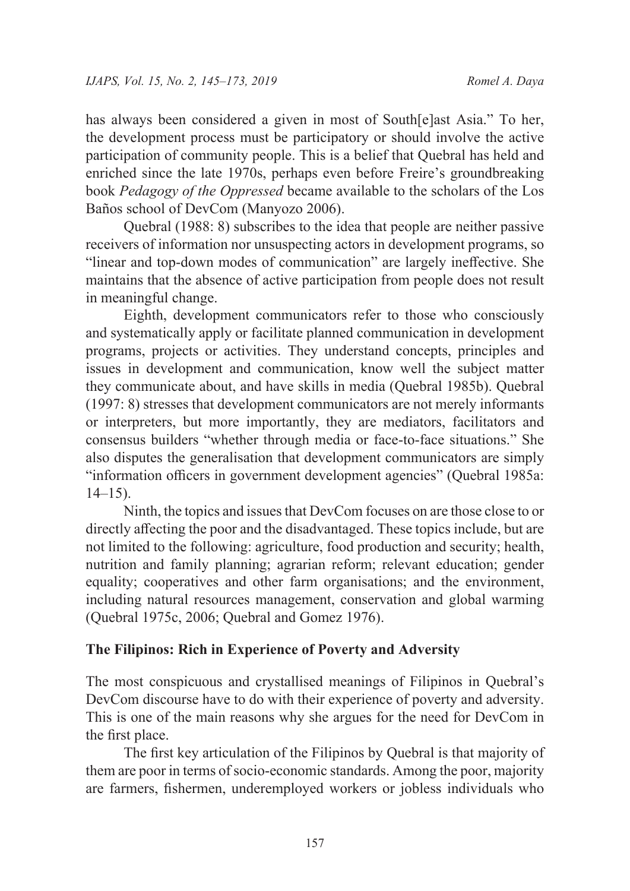has always been considered a given in most of South[e]ast Asia." To her, the development process must be participatory or should involve the active participation of community people. This is a belief that Quebral has held and enriched since the late 1970s, perhaps even before Freire's groundbreaking book *Pedagogy of the Oppressed* became available to the scholars of the Los Baños school of DevCom (Manyozo 2006).

Quebral (1988: 8) subscribes to the idea that people are neither passive receivers of information nor unsuspecting actors in development programs, so "linear and top-down modes of communication" are largely ineffective. She maintains that the absence of active participation from people does not result in meaningful change.

Eighth, development communicators refer to those who consciously and systematically apply or facilitate planned communication in development programs, projects or activities. They understand concepts, principles and issues in development and communication, know well the subject matter they communicate about, and have skills in media (Quebral 1985b). Quebral (1997: 8) stresses that development communicators are not merely informants or interpreters, but more importantly, they are mediators, facilitators and consensus builders "whether through media or face-to-face situations." She also disputes the generalisation that development communicators are simply "information officers in government development agencies" (Quebral 1985a:  $14-15$ ).

Ninth, the topics and issues that DevCom focuses on are those close to or directly affecting the poor and the disadvantaged. These topics include, but are not limited to the following: agriculture, food production and security; health, nutrition and family planning; agrarian reform; relevant education; gender equality; cooperatives and other farm organisations; and the environment, including natural resources management, conservation and global warming (Quebral 1975c, 2006; Quebral and Gomez 1976).

#### **The Filipinos: Rich in Experience of Poverty and Adversity**

The most conspicuous and crystallised meanings of Filipinos in Quebral's DevCom discourse have to do with their experience of poverty and adversity. This is one of the main reasons why she argues for the need for DevCom in the first place.

The first key articulation of the Filipinos by Quebral is that majority of them are poor in terms of socio-economic standards. Among the poor, majority are farmers, fishermen, underemployed workers or jobless individuals who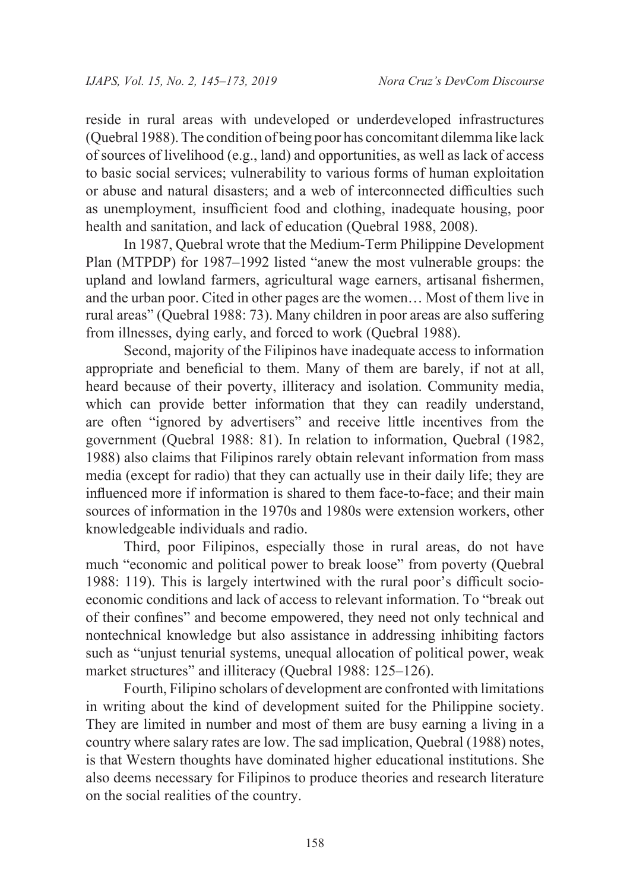reside in rural areas with undeveloped or underdeveloped infrastructures (Quebral 1988). The condition of being poor has concomitant dilemma like lack of sources of livelihood (e.g., land) and opportunities, as well as lack of access to basic social services; vulnerability to various forms of human exploitation or abuse and natural disasters; and a web of interconnected difficulties such as unemployment, insufficient food and clothing, inadequate housing, poor health and sanitation, and lack of education (Quebral 1988, 2008).

In 1987, Quebral wrote that the Medium-Term Philippine Development Plan (MTPDP) for 1987–1992 listed "anew the most vulnerable groups: the upland and lowland farmers, agricultural wage earners, artisanal fishermen, and the urban poor. Cited in other pages are the women… Most of them live in rural areas" (Quebral 1988: 73). Many children in poor areas are also suffering from illnesses, dying early, and forced to work (Quebral 1988).

Second, majority of the Filipinos have inadequate access to information appropriate and beneficial to them. Many of them are barely, if not at all, heard because of their poverty, illiteracy and isolation. Community media, which can provide better information that they can readily understand, are often "ignored by advertisers" and receive little incentives from the government (Quebral 1988: 81). In relation to information, Quebral (1982, 1988) also claims that Filipinos rarely obtain relevant information from mass media (except for radio) that they can actually use in their daily life; they are influenced more if information is shared to them face-to-face; and their main sources of information in the 1970s and 1980s were extension workers, other knowledgeable individuals and radio.

Third, poor Filipinos, especially those in rural areas, do not have much "economic and political power to break loose" from poverty (Quebral 1988: 119). This is largely intertwined with the rural poor's difficult socioeconomic conditions and lack of access to relevant information. To "break out of their confines" and become empowered, they need not only technical and nontechnical knowledge but also assistance in addressing inhibiting factors such as "unjust tenurial systems, unequal allocation of political power, weak market structures" and illiteracy (Quebral 1988: 125–126).

Fourth, Filipino scholars of development are confronted with limitations in writing about the kind of development suited for the Philippine society. They are limited in number and most of them are busy earning a living in a country where salary rates are low. The sad implication, Quebral (1988) notes, is that Western thoughts have dominated higher educational institutions. She also deems necessary for Filipinos to produce theories and research literature on the social realities of the country.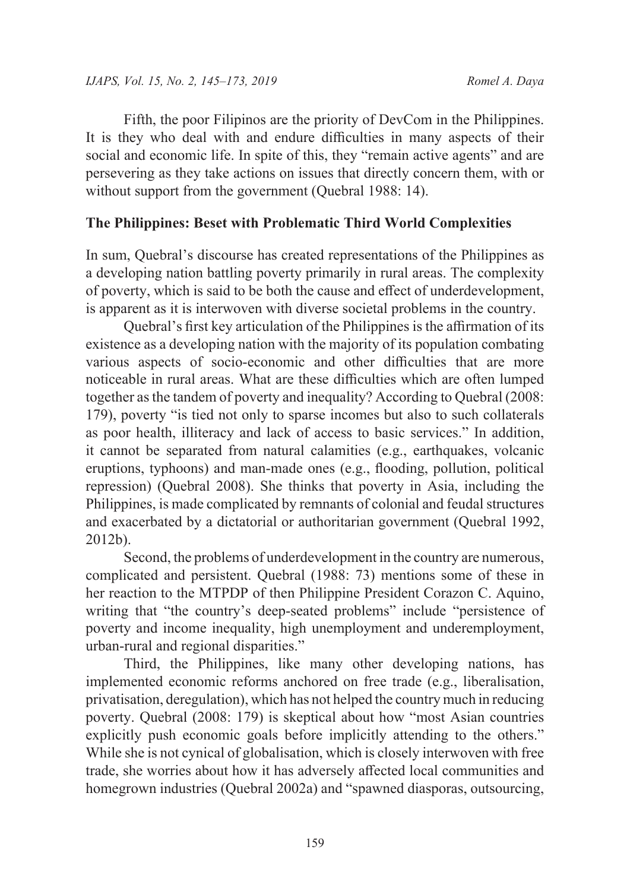Fifth, the poor Filipinos are the priority of DevCom in the Philippines. It is they who deal with and endure difficulties in many aspects of their social and economic life. In spite of this, they "remain active agents" and are persevering as they take actions on issues that directly concern them, with or without support from the government (Quebral 1988: 14).

## **The Philippines: Beset with Problematic Third World Complexities**

In sum, Quebral's discourse has created representations of the Philippines as a developing nation battling poverty primarily in rural areas. The complexity of poverty, which is said to be both the cause and effect of underdevelopment, is apparent as it is interwoven with diverse societal problems in the country.

Quebral's first key articulation of the Philippines is the affirmation of its existence as a developing nation with the majority of its population combating various aspects of socio-economic and other difficulties that are more noticeable in rural areas. What are these difficulties which are often lumped together as the tandem of poverty and inequality? According to Quebral (2008: 179), poverty "is tied not only to sparse incomes but also to such collaterals as poor health, illiteracy and lack of access to basic services." In addition, it cannot be separated from natural calamities (e.g., earthquakes, volcanic eruptions, typhoons) and man-made ones (e.g., flooding, pollution, political repression) (Quebral 2008). She thinks that poverty in Asia, including the Philippines, is made complicated by remnants of colonial and feudal structures and exacerbated by a dictatorial or authoritarian government (Quebral 1992, 2012b).

Second, the problems of underdevelopment in the country are numerous, complicated and persistent. Quebral (1988: 73) mentions some of these in her reaction to the MTPDP of then Philippine President Corazon C. Aquino, writing that "the country's deep-seated problems" include "persistence of poverty and income inequality, high unemployment and underemployment, urban-rural and regional disparities."

Third, the Philippines, like many other developing nations, has implemented economic reforms anchored on free trade (e.g., liberalisation, privatisation, deregulation), which has not helped the country much in reducing poverty. Quebral (2008: 179) is skeptical about how "most Asian countries explicitly push economic goals before implicitly attending to the others." While she is not cynical of globalisation, which is closely interwoven with free trade, she worries about how it has adversely affected local communities and homegrown industries (Quebral 2002a) and "spawned diasporas, outsourcing,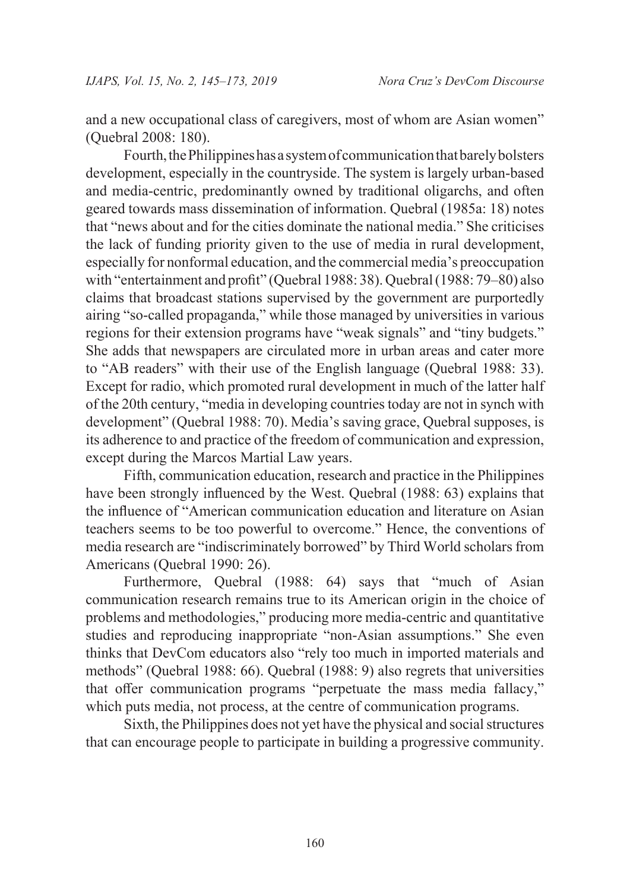and a new occupational class of caregivers, most of whom are Asian women" (Quebral 2008: 180).

Fourth, the Philippines has a system of communication that barely bolsters development, especially in the countryside. The system is largely urban-based and media-centric, predominantly owned by traditional oligarchs, and often geared towards mass dissemination of information. Quebral (1985a: 18) notes that "news about and for the cities dominate the national media." She criticises the lack of funding priority given to the use of media in rural development, especially for nonformal education, and the commercial media's preoccupation with "entertainment and profit" (Quebral 1988: 38). Quebral (1988: 79–80) also claims that broadcast stations supervised by the government are purportedly airing "so-called propaganda," while those managed by universities in various regions for their extension programs have "weak signals" and "tiny budgets." She adds that newspapers are circulated more in urban areas and cater more to "AB readers" with their use of the English language (Quebral 1988: 33). Except for radio, which promoted rural development in much of the latter half of the 20th century, "media in developing countries today are not in synch with development" (Quebral 1988: 70). Media's saving grace, Quebral supposes, is its adherence to and practice of the freedom of communication and expression, except during the Marcos Martial Law years.

Fifth, communication education, research and practice in the Philippines have been strongly influenced by the West. Quebral (1988: 63) explains that the influence of "American communication education and literature on Asian teachers seems to be too powerful to overcome." Hence, the conventions of media research are "indiscriminately borrowed" by Third World scholars from Americans (Quebral 1990: 26).

Furthermore, Quebral (1988: 64) says that "much of Asian communication research remains true to its American origin in the choice of problems and methodologies," producing more media-centric and quantitative studies and reproducing inappropriate "non-Asian assumptions." She even thinks that DevCom educators also "rely too much in imported materials and methods" (Quebral 1988: 66). Quebral (1988: 9) also regrets that universities that offer communication programs "perpetuate the mass media fallacy," which puts media, not process, at the centre of communication programs.

Sixth, the Philippines does not yet have the physical and social structures that can encourage people to participate in building a progressive community.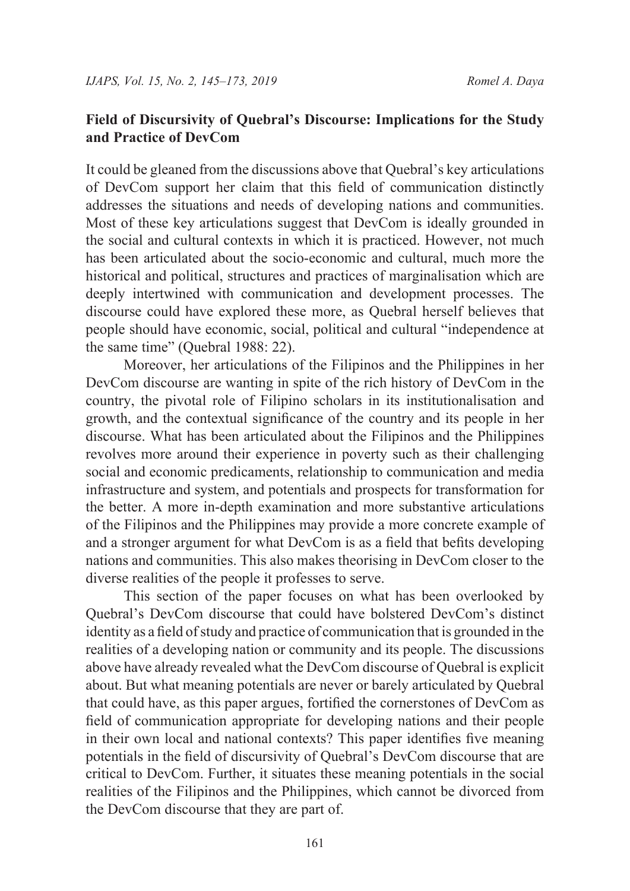#### **Field of Discursivity of Quebral's Discourse: Implications for the Study and Practice of DevCom**

It could be gleaned from the discussions above that Quebral's key articulations of DevCom support her claim that this field of communication distinctly addresses the situations and needs of developing nations and communities. Most of these key articulations suggest that DevCom is ideally grounded in the social and cultural contexts in which it is practiced. However, not much has been articulated about the socio-economic and cultural, much more the historical and political, structures and practices of marginalisation which are deeply intertwined with communication and development processes. The discourse could have explored these more, as Quebral herself believes that people should have economic, social, political and cultural "independence at the same time" (Quebral 1988: 22).

Moreover, her articulations of the Filipinos and the Philippines in her DevCom discourse are wanting in spite of the rich history of DevCom in the country, the pivotal role of Filipino scholars in its institutionalisation and growth, and the contextual significance of the country and its people in her discourse. What has been articulated about the Filipinos and the Philippines revolves more around their experience in poverty such as their challenging social and economic predicaments, relationship to communication and media infrastructure and system, and potentials and prospects for transformation for the better. A more in-depth examination and more substantive articulations of the Filipinos and the Philippines may provide a more concrete example of and a stronger argument for what DevCom is as a field that befits developing nations and communities. This also makes theorising in DevCom closer to the diverse realities of the people it professes to serve.

This section of the paper focuses on what has been overlooked by Quebral's DevCom discourse that could have bolstered DevCom's distinct identity as a field of study and practice of communication that is grounded in the realities of a developing nation or community and its people. The discussions above have already revealed what the DevCom discourse of Quebral is explicit about. But what meaning potentials are never or barely articulated by Quebral that could have, as this paper argues, fortified the cornerstones of DevCom as field of communication appropriate for developing nations and their people in their own local and national contexts? This paper identifies five meaning potentials in the field of discursivity of Quebral's DevCom discourse that are critical to DevCom. Further, it situates these meaning potentials in the social realities of the Filipinos and the Philippines, which cannot be divorced from the DevCom discourse that they are part of.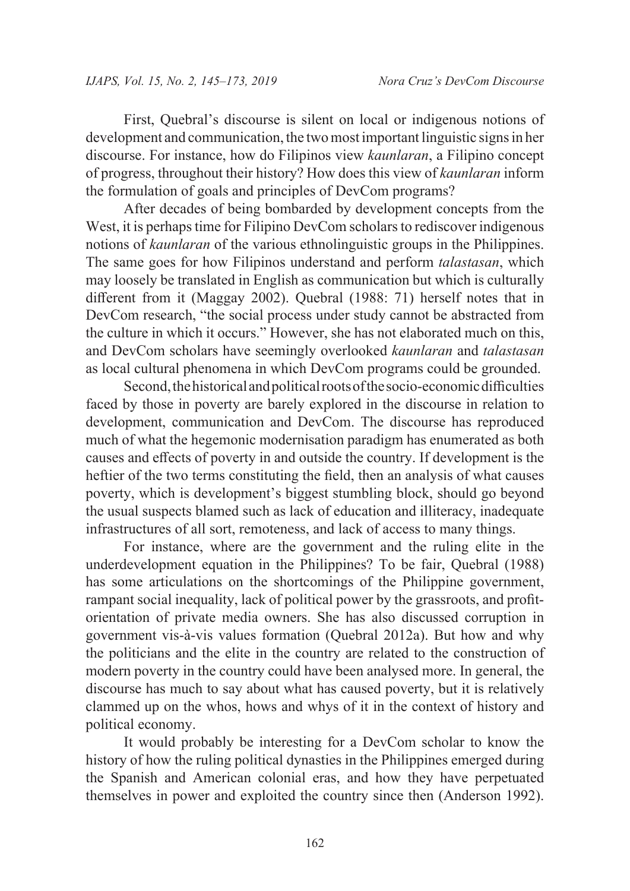First, Quebral's discourse is silent on local or indigenous notions of development and communication, the two most important linguistic signs in her discourse. For instance, how do Filipinos view *kaunlaran*, a Filipino concept of progress, throughout their history? How does this view of *kaunlaran* inform the formulation of goals and principles of DevCom programs?

After decades of being bombarded by development concepts from the West, it is perhaps time for Filipino DevCom scholars to rediscover indigenous notions of *kaunlaran* of the various ethnolinguistic groups in the Philippines. The same goes for how Filipinos understand and perform *talastasan*, which may loosely be translated in English as communication but which is culturally different from it (Maggay 2002). Quebral (1988: 71) herself notes that in DevCom research, "the social process under study cannot be abstracted from the culture in which it occurs." However, she has not elaborated much on this, and DevCom scholars have seemingly overlooked *kaunlaran* and *talastasan*  as local cultural phenomena in which DevCom programs could be grounded.

Second, the historical and political roots of the socio-economic difficulties faced by those in poverty are barely explored in the discourse in relation to development, communication and DevCom. The discourse has reproduced much of what the hegemonic modernisation paradigm has enumerated as both causes and effects of poverty in and outside the country. If development is the heftier of the two terms constituting the field, then an analysis of what causes poverty, which is development's biggest stumbling block, should go beyond the usual suspects blamed such as lack of education and illiteracy, inadequate infrastructures of all sort, remoteness, and lack of access to many things.

For instance, where are the government and the ruling elite in the underdevelopment equation in the Philippines? To be fair, Quebral (1988) has some articulations on the shortcomings of the Philippine government, rampant social inequality, lack of political power by the grassroots, and profitorientation of private media owners. She has also discussed corruption in government vis-à-vis values formation (Quebral 2012a). But how and why the politicians and the elite in the country are related to the construction of modern poverty in the country could have been analysed more. In general, the discourse has much to say about what has caused poverty, but it is relatively clammed up on the whos, hows and whys of it in the context of history and political economy.

It would probably be interesting for a DevCom scholar to know the history of how the ruling political dynasties in the Philippines emerged during the Spanish and American colonial eras, and how they have perpetuated themselves in power and exploited the country since then (Anderson 1992).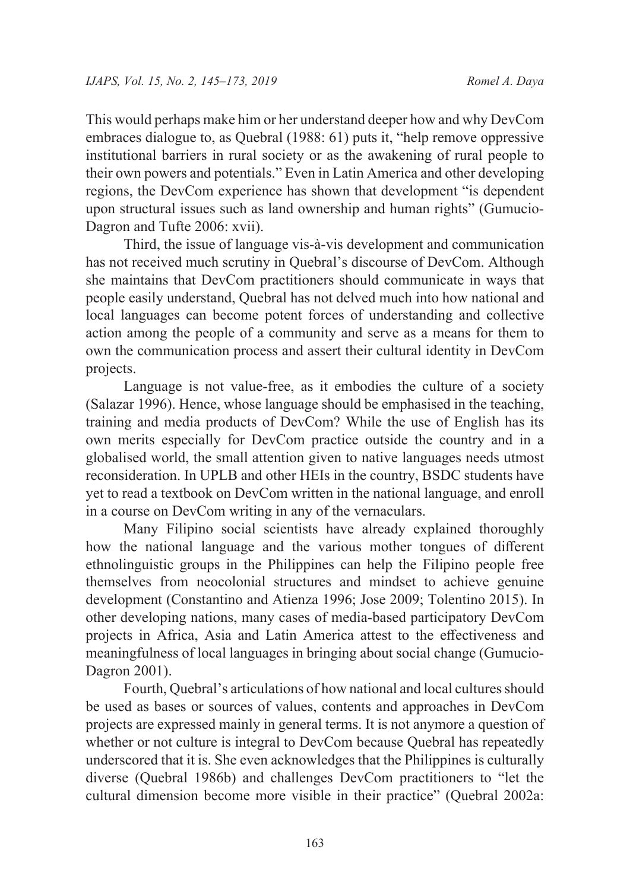This would perhaps make him or her understand deeper how and why DevCom embraces dialogue to, as Quebral (1988: 61) puts it, "help remove oppressive institutional barriers in rural society or as the awakening of rural people to their own powers and potentials." Even in Latin America and other developing regions, the DevCom experience has shown that development "is dependent upon structural issues such as land ownership and human rights" (Gumucio-Dagron and Tufte 2006: xvii).

Third, the issue of language vis-à-vis development and communication has not received much scrutiny in Quebral's discourse of DevCom. Although she maintains that DevCom practitioners should communicate in ways that people easily understand, Quebral has not delved much into how national and local languages can become potent forces of understanding and collective action among the people of a community and serve as a means for them to own the communication process and assert their cultural identity in DevCom projects.

Language is not value-free, as it embodies the culture of a society (Salazar 1996). Hence, whose language should be emphasised in the teaching, training and media products of DevCom? While the use of English has its own merits especially for DevCom practice outside the country and in a globalised world, the small attention given to native languages needs utmost reconsideration. In UPLB and other HEIs in the country, BSDC students have yet to read a textbook on DevCom written in the national language, and enroll in a course on DevCom writing in any of the vernaculars.

Many Filipino social scientists have already explained thoroughly how the national language and the various mother tongues of different ethnolinguistic groups in the Philippines can help the Filipino people free themselves from neocolonial structures and mindset to achieve genuine development (Constantino and Atienza 1996; Jose 2009; Tolentino 2015). In other developing nations, many cases of media-based participatory DevCom projects in Africa, Asia and Latin America attest to the effectiveness and meaningfulness of local languages in bringing about social change (Gumucio-Dagron 2001).

Fourth, Quebral's articulations of how national and local cultures should be used as bases or sources of values, contents and approaches in DevCom projects are expressed mainly in general terms. It is not anymore a question of whether or not culture is integral to DevCom because Quebral has repeatedly underscored that it is. She even acknowledges that the Philippines is culturally diverse (Quebral 1986b) and challenges DevCom practitioners to "let the cultural dimension become more visible in their practice" (Quebral 2002a: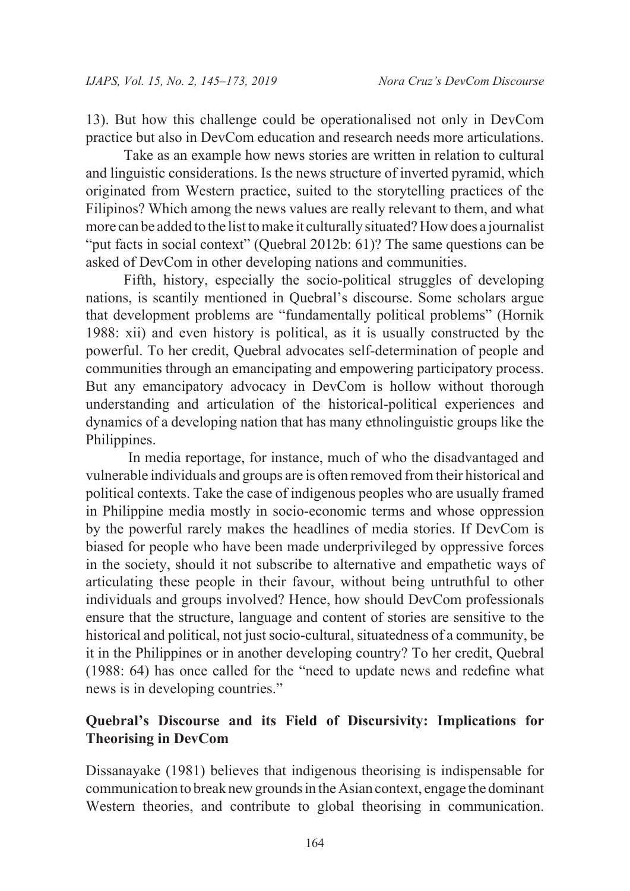13). But how this challenge could be operationalised not only in DevCom practice but also in DevCom education and research needs more articulations.

Take as an example how news stories are written in relation to cultural and linguistic considerations. Is the news structure of inverted pyramid, which originated from Western practice, suited to the storytelling practices of the Filipinos? Which among the news values are really relevant to them, and what more can be added to the list to make it culturally situated? How does a journalist "put facts in social context" (Quebral 2012b: 61)? The same questions can be asked of DevCom in other developing nations and communities.

Fifth, history, especially the socio-political struggles of developing nations, is scantily mentioned in Quebral's discourse. Some scholars argue that development problems are "fundamentally political problems" (Hornik 1988: xii) and even history is political, as it is usually constructed by the powerful. To her credit, Quebral advocates self-determination of people and communities through an emancipating and empowering participatory process. But any emancipatory advocacy in DevCom is hollow without thorough understanding and articulation of the historical-political experiences and dynamics of a developing nation that has many ethnolinguistic groups like the Philippines.

 In media reportage, for instance, much of who the disadvantaged and vulnerable individuals and groups are is often removed from their historical and political contexts. Take the case of indigenous peoples who are usually framed in Philippine media mostly in socio-economic terms and whose oppression by the powerful rarely makes the headlines of media stories. If DevCom is biased for people who have been made underprivileged by oppressive forces in the society, should it not subscribe to alternative and empathetic ways of articulating these people in their favour, without being untruthful to other individuals and groups involved? Hence, how should DevCom professionals ensure that the structure, language and content of stories are sensitive to the historical and political, not just socio-cultural, situatedness of a community, be it in the Philippines or in another developing country? To her credit, Quebral (1988: 64) has once called for the "need to update news and redefine what news is in developing countries."

## **Quebral's Discourse and its Field of Discursivity: Implications for Theorising in DevCom**

Dissanayake (1981) believes that indigenous theorising is indispensable for communication to break new grounds in the Asian context, engage the dominant Western theories, and contribute to global theorising in communication.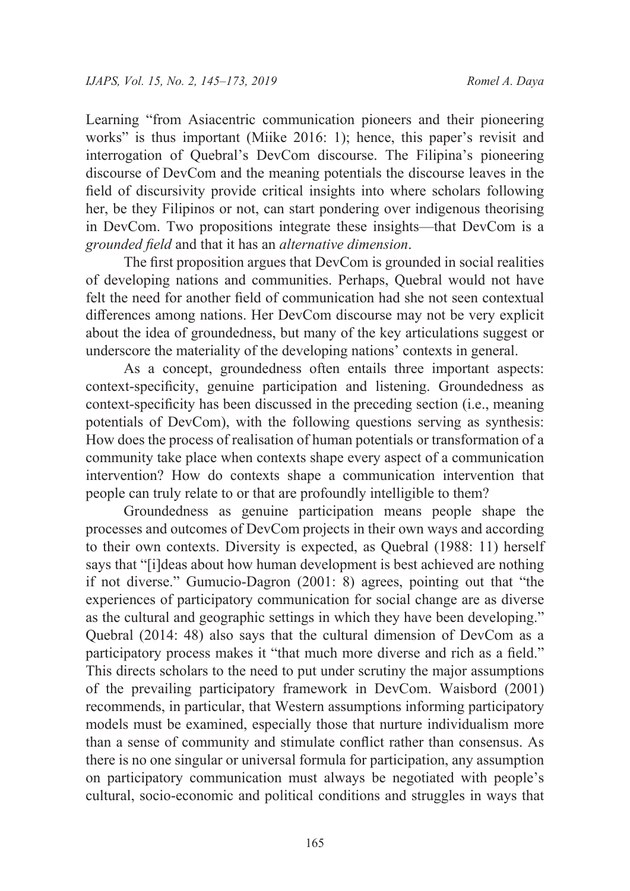Learning "from Asiacentric communication pioneers and their pioneering works" is thus important (Miike 2016: 1); hence, this paper's revisit and interrogation of Quebral's DevCom discourse. The Filipina's pioneering discourse of DevCom and the meaning potentials the discourse leaves in the field of discursivity provide critical insights into where scholars following her, be they Filipinos or not, can start pondering over indigenous theorising in DevCom. Two propositions integrate these insights—that DevCom is a *grounded field* and that it has an *alternative dimension*.

The first proposition argues that DevCom is grounded in social realities of developing nations and communities. Perhaps, Quebral would not have felt the need for another field of communication had she not seen contextual differences among nations. Her DevCom discourse may not be very explicit about the idea of groundedness, but many of the key articulations suggest or underscore the materiality of the developing nations' contexts in general.

As a concept, groundedness often entails three important aspects: context-specificity, genuine participation and listening. Groundedness as context-specificity has been discussed in the preceding section (i.e., meaning potentials of DevCom), with the following questions serving as synthesis: How does the process of realisation of human potentials or transformation of a community take place when contexts shape every aspect of a communication intervention? How do contexts shape a communication intervention that people can truly relate to or that are profoundly intelligible to them?

Groundedness as genuine participation means people shape the processes and outcomes of DevCom projects in their own ways and according to their own contexts. Diversity is expected, as Quebral (1988: 11) herself says that "[i]deas about how human development is best achieved are nothing if not diverse." Gumucio-Dagron (2001: 8) agrees, pointing out that "the experiences of participatory communication for social change are as diverse as the cultural and geographic settings in which they have been developing." Quebral (2014: 48) also says that the cultural dimension of DevCom as a participatory process makes it "that much more diverse and rich as a field." This directs scholars to the need to put under scrutiny the major assumptions of the prevailing participatory framework in DevCom. Waisbord (2001) recommends, in particular, that Western assumptions informing participatory models must be examined, especially those that nurture individualism more than a sense of community and stimulate conflict rather than consensus. As there is no one singular or universal formula for participation, any assumption on participatory communication must always be negotiated with people's cultural, socio-economic and political conditions and struggles in ways that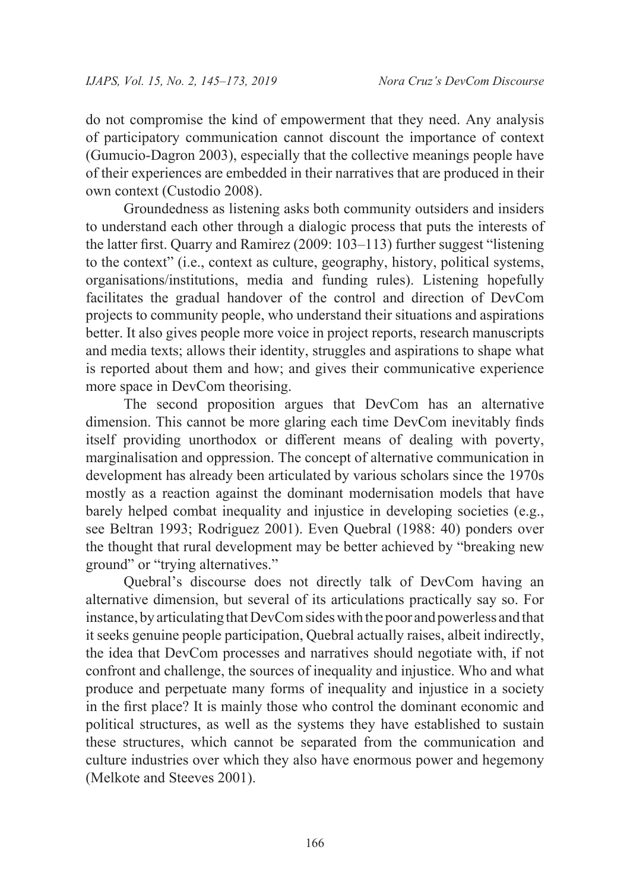do not compromise the kind of empowerment that they need. Any analysis of participatory communication cannot discount the importance of context (Gumucio-Dagron 2003), especially that the collective meanings people have of their experiences are embedded in their narratives that are produced in their own context (Custodio 2008).

Groundedness as listening asks both community outsiders and insiders to understand each other through a dialogic process that puts the interests of the latter first. Quarry and Ramirez (2009: 103–113) further suggest "listening to the context" (i.e., context as culture, geography, history, political systems, organisations/institutions, media and funding rules). Listening hopefully facilitates the gradual handover of the control and direction of DevCom projects to community people, who understand their situations and aspirations better. It also gives people more voice in project reports, research manuscripts and media texts; allows their identity, struggles and aspirations to shape what is reported about them and how; and gives their communicative experience more space in DevCom theorising.

The second proposition argues that DevCom has an alternative dimension. This cannot be more glaring each time DevCom inevitably finds itself providing unorthodox or different means of dealing with poverty, marginalisation and oppression. The concept of alternative communication in development has already been articulated by various scholars since the 1970s mostly as a reaction against the dominant modernisation models that have barely helped combat inequality and injustice in developing societies (e.g., see Beltran 1993; Rodriguez 2001). Even Quebral (1988: 40) ponders over the thought that rural development may be better achieved by "breaking new ground" or "trying alternatives."

Quebral's discourse does not directly talk of DevCom having an alternative dimension, but several of its articulations practically say so. For instance, by articulating that DevCom sides with the poor and powerless and that it seeks genuine people participation, Quebral actually raises, albeit indirectly, the idea that DevCom processes and narratives should negotiate with, if not confront and challenge, the sources of inequality and injustice. Who and what produce and perpetuate many forms of inequality and injustice in a society in the first place? It is mainly those who control the dominant economic and political structures, as well as the systems they have established to sustain these structures, which cannot be separated from the communication and culture industries over which they also have enormous power and hegemony (Melkote and Steeves 2001).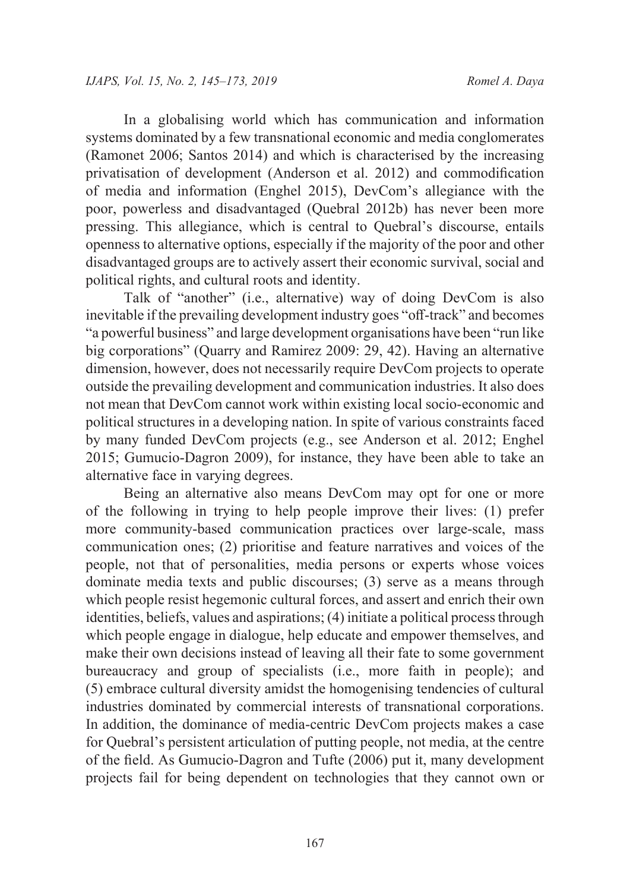In a globalising world which has communication and information systems dominated by a few transnational economic and media conglomerates (Ramonet 2006; Santos 2014) and which is characterised by the increasing privatisation of development (Anderson et al. 2012) and commodification of media and information (Enghel 2015), DevCom's allegiance with the poor, powerless and disadvantaged (Quebral 2012b) has never been more pressing. This allegiance, which is central to Quebral's discourse, entails openness to alternative options, especially if the majority of the poor and other disadvantaged groups are to actively assert their economic survival, social and political rights, and cultural roots and identity.

Talk of "another" (i.e., alternative) way of doing DevCom is also inevitable if the prevailing development industry goes "off-track" and becomes "a powerful business" and large development organisations have been "run like big corporations" (Quarry and Ramirez 2009: 29, 42). Having an alternative dimension, however, does not necessarily require DevCom projects to operate outside the prevailing development and communication industries. It also does not mean that DevCom cannot work within existing local socio-economic and political structures in a developing nation. In spite of various constraints faced by many funded DevCom projects (e.g., see Anderson et al. 2012; Enghel 2015; Gumucio-Dagron 2009), for instance, they have been able to take an alternative face in varying degrees.

Being an alternative also means DevCom may opt for one or more of the following in trying to help people improve their lives: (1) prefer more community-based communication practices over large-scale, mass communication ones; (2) prioritise and feature narratives and voices of the people, not that of personalities, media persons or experts whose voices dominate media texts and public discourses; (3) serve as a means through which people resist hegemonic cultural forces, and assert and enrich their own identities, beliefs, values and aspirations; (4) initiate a political process through which people engage in dialogue, help educate and empower themselves, and make their own decisions instead of leaving all their fate to some government bureaucracy and group of specialists (i.e., more faith in people); and (5) embrace cultural diversity amidst the homogenising tendencies of cultural industries dominated by commercial interests of transnational corporations. In addition, the dominance of media-centric DevCom projects makes a case for Quebral's persistent articulation of putting people, not media, at the centre of the field. As Gumucio-Dagron and Tufte (2006) put it, many development projects fail for being dependent on technologies that they cannot own or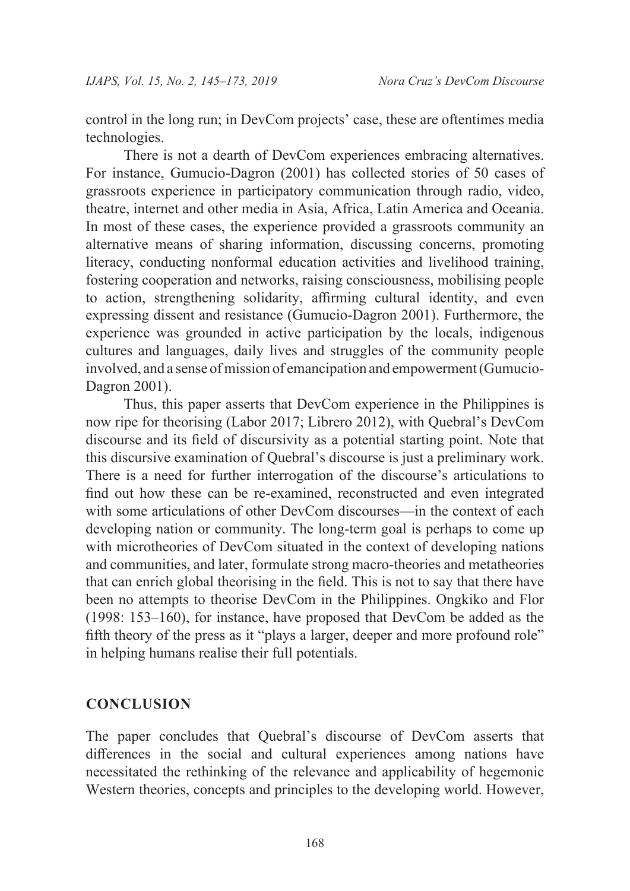control in the long run; in DevCom projects' case, these are oftentimes media technologies.

There is not a dearth of DevCom experiences embracing alternatives. For instance, Gumucio-Dagron (2001) has collected stories of 50 cases of grassroots experience in participatory communication through radio, video, theatre, internet and other media in Asia, Africa, Latin America and Oceania. In most of these cases, the experience provided a grassroots community an alternative means of sharing information, discussing concerns, promoting literacy, conducting nonformal education activities and livelihood training, fostering cooperation and networks, raising consciousness, mobilising people to action, strengthening solidarity, affirming cultural identity, and even expressing dissent and resistance (Gumucio-Dagron 2001). Furthermore, the experience was grounded in active participation by the locals, indigenous cultures and languages, daily lives and struggles of the community people involved, and a sense of mission of emancipation and empowerment (Gumucio-Dagron 2001).

Thus, this paper asserts that DevCom experience in the Philippines is now ripe for theorising (Labor 2017; Librero 2012), with Quebral's DevCom discourse and its field of discursivity as a potential starting point. Note that this discursive examination of Quebral's discourse is just a preliminary work. There is a need for further interrogation of the discourse's articulations to find out how these can be re-examined, reconstructed and even integrated with some articulations of other DevCom discourses—in the context of each developing nation or community. The long-term goal is perhaps to come up with microtheories of DevCom situated in the context of developing nations and communities, and later, formulate strong macro-theories and metatheories that can enrich global theorising in the field. This is not to say that there have been no attempts to theorise DevCom in the Philippines. Ongkiko and Flor (1998: 153–160), for instance, have proposed that DevCom be added as the fifth theory of the press as it "plays a larger, deeper and more profound role" in helping humans realise their full potentials.

#### **CONCLUSION**

The paper concludes that Quebral's discourse of DevCom asserts that differences in the social and cultural experiences among nations have necessitated the rethinking of the relevance and applicability of hegemonic Western theories, concepts and principles to the developing world. However,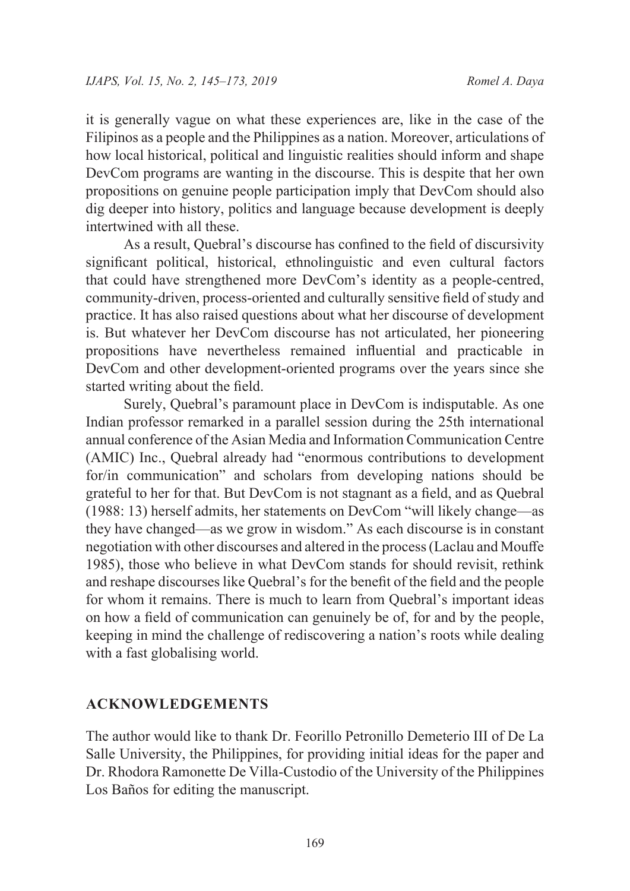it is generally vague on what these experiences are, like in the case of the Filipinos as a people and the Philippines as a nation. Moreover, articulations of how local historical, political and linguistic realities should inform and shape DevCom programs are wanting in the discourse. This is despite that her own propositions on genuine people participation imply that DevCom should also dig deeper into history, politics and language because development is deeply intertwined with all these.

As a result, Quebral's discourse has confined to the field of discursivity significant political, historical, ethnolinguistic and even cultural factors that could have strengthened more DevCom's identity as a people-centred, community-driven, process-oriented and culturally sensitive field of study and practice. It has also raised questions about what her discourse of development is. But whatever her DevCom discourse has not articulated, her pioneering propositions have nevertheless remained influential and practicable in DevCom and other development-oriented programs over the years since she started writing about the field.

Surely, Quebral's paramount place in DevCom is indisputable. As one Indian professor remarked in a parallel session during the 25th international annual conference of the Asian Media and Information Communication Centre (AMIC) Inc., Quebral already had "enormous contributions to development for/in communication" and scholars from developing nations should be grateful to her for that. But DevCom is not stagnant as a field, and as Quebral (1988: 13) herself admits, her statements on DevCom "will likely change—as they have changed—as we grow in wisdom." As each discourse is in constant negotiation with other discourses and altered in the process (Laclau and Mouffe 1985), those who believe in what DevCom stands for should revisit, rethink and reshape discourses like Quebral's for the benefit of the field and the people for whom it remains. There is much to learn from Quebral's important ideas on how a field of communication can genuinely be of, for and by the people, keeping in mind the challenge of rediscovering a nation's roots while dealing with a fast globalising world.

#### **ACKNOWLEDGEMENTS**

The author would like to thank Dr. Feorillo Petronillo Demeterio III of De La Salle University, the Philippines, for providing initial ideas for the paper and Dr. Rhodora Ramonette De Villa-Custodio of the University of the Philippines Los Baños for editing the manuscript.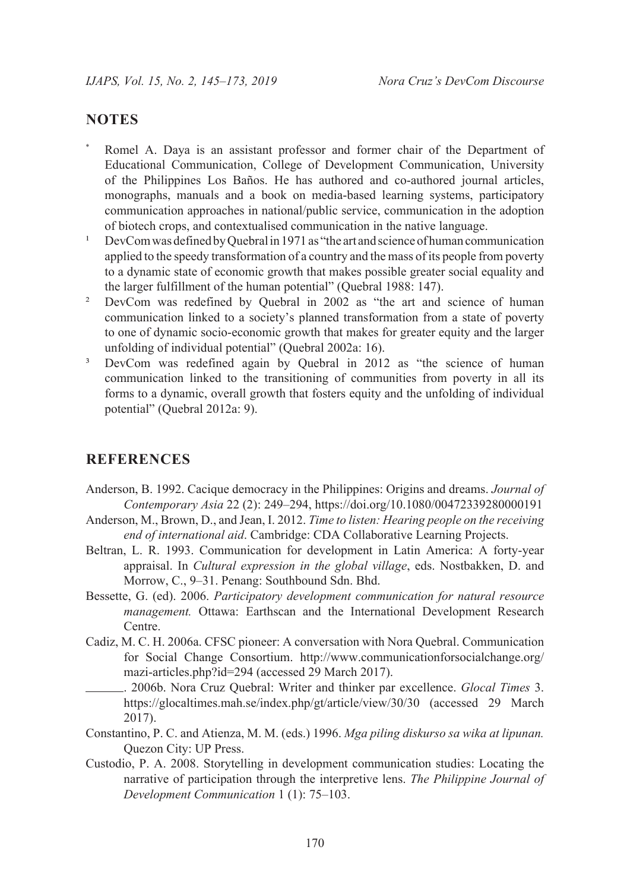#### **NOTES**

- Romel A. Daya is an assistant professor and former chair of the Department of Educational Communication, College of Development Communication, University of the Philippines Los Baños. He has authored and co-authored journal articles, monographs, manuals and a book on media-based learning systems, participatory communication approaches in national/public service, communication in the adoption of biotech crops, and contextualised communication in the native language.
- <sup>1</sup> DevCom was defined by Quebral in 1971 as "the art and science of human communication applied to the speedy transformation of a country and the mass of its people from poverty to a dynamic state of economic growth that makes possible greater social equality and the larger fulfillment of the human potential" (Quebral 1988: 147).
- <sup>2</sup> DevCom was redefined by Quebral in 2002 as "the art and science of human communication linked to a society's planned transformation from a state of poverty to one of dynamic socio-economic growth that makes for greater equity and the larger unfolding of individual potential" (Quebral 2002a: 16).
- <sup>3</sup> DevCom was redefined again by Quebral in 2012 as "the science of human communication linked to the transitioning of communities from poverty in all its forms to a dynamic, overall growth that fosters equity and the unfolding of individual potential" (Quebral 2012a: 9).

#### **REFERENCES**

- Anderson, B. 1992. Cacique democracy in the Philippines: Origins and dreams. *Journal of Contemporary Asia* 22 (2): 249–294, https://doi.org/10.1080/00472339280000191
- Anderson, M., Brown, D., and Jean, I. 2012. *Time to listen: Hearing people on the receiving end of international aid*. Cambridge: CDA Collaborative Learning Projects.
- Beltran, L. R. 1993. Communication for development in Latin America: A forty-year appraisal. In *Cultural expression in the global village*, eds. Nostbakken, D. and Morrow, C., 9–31. Penang: Southbound Sdn. Bhd.
- Bessette, G. (ed). 2006. *Participatory development communication for natural resource management.* Ottawa: Earthscan and the International Development Research Centre.
- Cadiz, M. C. H. 2006a. CFSC pioneer: A conversation with Nora Quebral. Communication for Social Change Consortium. http://www.communicationforsocialchange.org/ mazi-articles.php?id=294 (accessed 29 March 2017).
- . 2006b. Nora Cruz Quebral: Writer and thinker par excellence. *Glocal Times* 3. https://glocaltimes.mah.se/index.php/gt/article/view/30/30 (accessed 29 March 2017).
- Constantino, P. C. and Atienza, M. M. (eds.) 1996. *Mga piling diskurso sa wika at lipunan.*  Quezon City: UP Press.
- Custodio, P. A. 2008. Storytelling in development communication studies: Locating the narrative of participation through the interpretive lens. *The Philippine Journal of Development Communication* 1 (1): 75–103.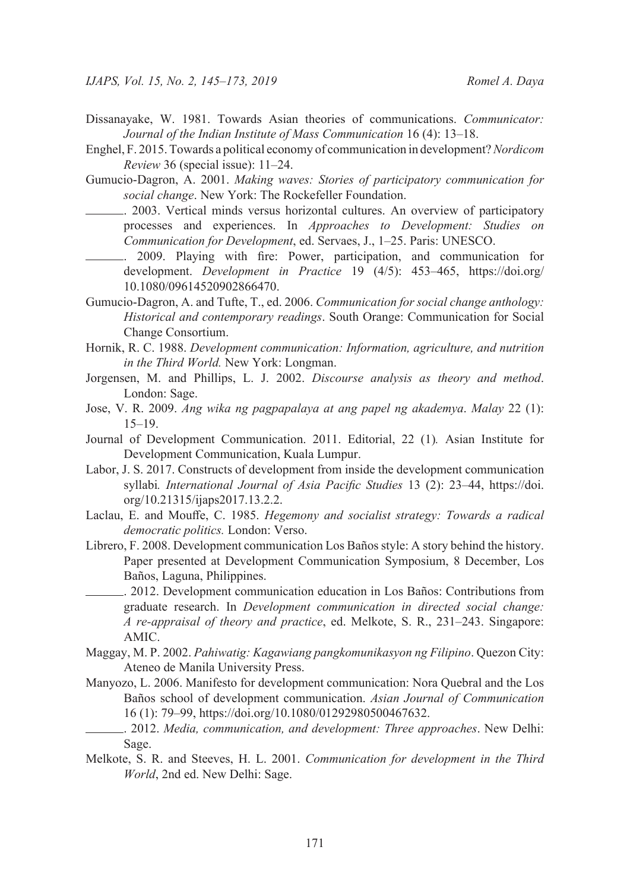- Dissanayake, W. 1981. Towards Asian theories of communications. *Communicator: Journal of the Indian Institute of Mass Communication* 16 (4): 13–18.
- Enghel, F. 2015. Towards a political economy of communication in development? *Nordicom Review* 36 (special issue): 11–24.
- Gumucio-Dagron, A. 2001. *Making waves: Stories of participatory communication for social change*. New York: The Rockefeller Foundation.
	- . 2003. Vertical minds versus horizontal cultures. An overview of participatory processes and experiences. In *Approaches to Development: Studies on Communication for Development*, ed. Servaes, J., 1–25. Paris: UNESCO.
	- . 2009. Playing with fire: Power, participation, and communication for development. *Development in Practice* 19 (4/5): 453–465, https://doi.org/ 10.1080/09614520902866470.
- Gumucio-Dagron, A. and Tufte, T., ed. 2006. *Communication for social change anthology: Historical and contemporary readings*. South Orange: Communication for Social Change Consortium.
- Hornik, R. C. 1988. *Development communication: Information, agriculture, and nutrition in the Third World.* New York: Longman.
- Jorgensen, M. and Phillips, L. J. 2002. *Discourse analysis as theory and method*. London: Sage.
- Jose, V. R. 2009. *Ang wika ng pagpapalaya at ang papel ng akademya*. *Malay* 22 (1): 15–19.
- Journal of Development Communication. 2011. Editorial, 22 (1)*.* Asian Institute for Development Communication, Kuala Lumpur.
- Labor, J. S. 2017. Constructs of development from inside the development communication syllabi*. International Journal of Asia Pacific Studies* 13 (2): 23–44, https://doi. org/10.21315/ijaps2017.13.2.2.
- Laclau, E. and Mouffe, C. 1985. *Hegemony and socialist strategy: Towards a radical democratic politics.* London: Verso.
- Librero, F. 2008. Development communication Los Baños style: A story behind the history. Paper presented at Development Communication Symposium, 8 December, Los Baños, Laguna, Philippines.
- . 2012. Development communication education in Los Baños: Contributions from graduate research. In *Development communication in directed social change: A re-appraisal of theory and practice*, ed. Melkote, S. R., 231–243. Singapore: AMIC.
- Maggay, M. P. 2002. *Pahiwatig: Kagawiang pangkomunikasyon ng Filipino*. Quezon City: Ateneo de Manila University Press.
- Manyozo, L. 2006. Manifesto for development communication: Nora Quebral and the Los Baños school of development communication. *Asian Journal of Communication* 16 (1): 79–99, https://doi.org/10.1080/01292980500467632.
	- . 2012. *Media, communication, and development: Three approaches*. New Delhi: Sage.
- Melkote, S. R. and Steeves, H. L. 2001. *Communication for development in the Third World*, 2nd ed. New Delhi: Sage.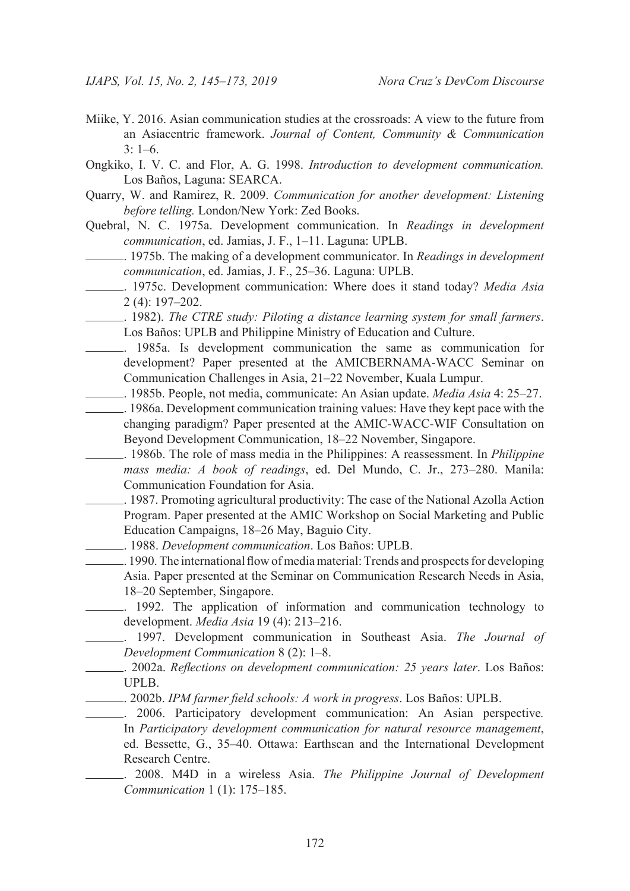- Miike, Y. 2016. Asian communication studies at the crossroads: A view to the future from an Asiacentric framework. *Journal of Content, Community & Communication* 3: 1–6.
- Ongkiko, I. V. C. and Flor, A. G. 1998. *Introduction to development communication.*  Los Baños, Laguna: SEARCA.
- Quarry, W. and Ramirez, R. 2009. *Communication for another development: Listening before telling.* London/New York: Zed Books.
- Quebral, N. C. 1975a. Development communication. In *Readings in development communication*, ed. Jamias, J. F., 1–11. Laguna: UPLB.
	- . 1975b. The making of a development communicator. In *Readings in development communication*, ed. Jamias, J. F., 25–36. Laguna: UPLB.
- . 1975c. Development communication: Where does it stand today? *Media Asia*  2 (4): 197–202.
	- . 1982). *The CTRE study: Piloting a distance learning system for small farmers*. Los Baños: UPLB and Philippine Ministry of Education and Culture.
	- . 1985a. Is development communication the same as communication for development? Paper presented at the AMICBERNAMA-WACC Seminar on Communication Challenges in Asia, 21–22 November, Kuala Lumpur.
- . 1985b. People, not media, communicate: An Asian update. *Media Asia* 4: 25–27.
- . 1986a. Development communication training values: Have they kept pace with the changing paradigm? Paper presented at the AMIC-WACC-WIF Consultation on Beyond Development Communication, 18–22 November, Singapore.
- . 1986b. The role of mass media in the Philippines: A reassessment. In *Philippine mass media: A book of readings*, ed. Del Mundo, C. Jr., 273–280. Manila: Communication Foundation for Asia.
- . 1987. Promoting agricultural productivity: The case of the National Azolla Action Program. Paper presented at the AMIC Workshop on Social Marketing and Public Education Campaigns, 18–26 May, Baguio City.
- . 1988. *Development communication*. Los Baños: UPLB.
	- . 1990. The international flow of media material: Trends and prospects for developing Asia. Paper presented at the Seminar on Communication Research Needs in Asia, 18–20 September, Singapore.
		- . 1992. The application of information and communication technology to development. *Media Asia* 19 (4): 213–216.
		- . 1997. Development communication in Southeast Asia. *The Journal of Development Communication* 8 (2): 1–8.
		- . 2002a. *Reflections on development communication: 25 years later*. Los Baños: UPLB.
			- . 2002b. *IPM farmer field schools: A work in progress*. Los Baños: UPLB.
	- . 2006. Participatory development communication: An Asian perspective*.* In *Participatory development communication for natural resource management*, ed. Bessette, G., 35–40. Ottawa: Earthscan and the International Development Research Centre.
		- . 2008. M4D in a wireless Asia. *The Philippine Journal of Development Communication* 1 (1): 175–185.